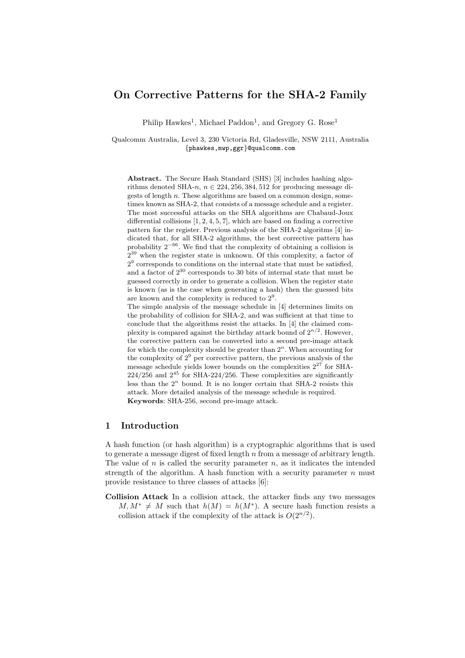# On Corrective Patterns for the SHA-2 Family

Philip Hawkes<sup>1</sup>, Michael Paddon<sup>1</sup>, and Gregory G. Rose<sup>1</sup>

Qualcomm Australia, Level 3, 230 Victoria Rd, Gladesville, NSW 2111, Australia {phawkes,mwp,ggr}@qualcomm.com

Abstract. The Secure Hash Standard (SHS) [3] includes hashing algorithms denoted SHA-n,  $n \in 224, 256, 384, 512$  for producing message digests of length  $n$ . These algorithms are based on a common design, sometimes known as SHA-2, that consists of a message schedule and a register. The most successful attacks on the SHA algorithms are Chabaud-Joux differential collisions  $[1, 2, 4, 5, 7]$ , which are based on finding a corrective pattern for the register. Previous analysis of the SHA-2 algoritms [4] indicated that, for all SHA-2 algorithms, the best corrective pattern has probability  $2^{-66}$ . We find that the complexity of obtaining a collision is  $2^{39}$  when the register state is unknown. Of this complexity, a factor of  $2<sup>9</sup>$  corresponds to conditions on the internal state that must be satisfied, and a factor of  $2^{30}$  corresponds to 30 bits of internal state that must be guessed correctly in order to generate a collision. When the register state is known (as is the case when generating a hash) then the guessed bits are known and the complexity is reduced to  $2<sup>9</sup>$ .

The simple analysis of the message schedule in [4] determines limits on the probability of collision for SHA-2, and was sufficient at that time to conclude that the algorithms resist the attacks. In [4] the claimed complexity is compared against the birthday attack bound of  $2^{n/2}$ . However, the corrective pattern can be converted into a second pre-image attack for which the complexity should be greater than  $2<sup>n</sup>$ . When accounting for the complexity of  $2^9$  per corrective pattern, the previous analysis of the message schedule yields lower bounds on the complexities  $2^{27}$  for SHA- $224/256$  and  $2^{45}$  for SHA-224/256. These complexities are significantly less than the  $2<sup>n</sup>$  bound. It is no longer certain that SHA-2 resists this attack. More detailed analysis of the message schedule is required. Keywords: SHA-256, second pre-image attack.

# 1 Introduction

A hash function (or hash algorithm) is a cryptographic algorithms that is used to generate a message digest of fixed length  $n$  from a message of arbitrary length. The value of  $n$  is called the security parameter  $n$ , as it indicates the intended strength of the algorithm. A hash function with a security parameter  $n$  must provide resistance to three classes of attacks [6]:

Collision Attack In a collision attack, the attacker finds any two messages  $M, M^* \neq M$  such that  $h(M) = h(M^*)$ . A secure hash function resists a collision attack if the complexity of the attack is  $O(2^{n/2})$ .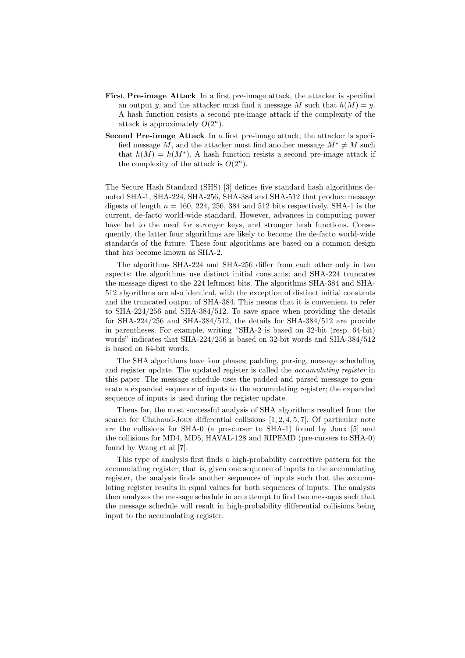- First Pre-image Attack In a first pre-image attack, the attacker is specified an output y, and the attacker must find a message M such that  $h(M) = y$ . A hash function resists a second pre-image attack if the complexity of the attack is approximately  $O(2^n)$ .
- Second Pre-image Attack In a first pre-image attack, the attacker is specified message M, and the attacker must find another message  $M^* \neq M$  such that  $h(M) = h(M^*)$ . A hash function resists a second pre-image attack if the complexity of the attack is  $O(2^n)$ .

The Secure Hash Standard (SHS) [3] defines five standard hash algorithms denoted SHA-1, SHA-224, SHA-256, SHA-384 and SHA-512 that produce message digests of length  $n = 160, 224, 256, 384$  and 512 bits respectively. SHA-1 is the current, de-facto world-wide standard. However, advances in computing power have led to the need for stronger keys, and stronger hash functions. Consequently, the latter four algorithms are likely to become the de-facto world-wide standards of the future. These four algorithms are based on a common design that has become known as SHA-2.

The algorithms SHA-224 and SHA-256 differ from each other only in two aspects: the algorithms use distinct initial constants; and SHA-224 truncates the message digest to the 224 leftmost bits. The algorithms SHA-384 and SHA-512 algorithms are also identical, with the exception of distinct initial constants and the truncated output of SHA-384. This means that it is convenient to refer to SHA-224/256 and SHA-384/512. To save space when providing the details for SHA-224/256 and SHA-384/512, the details for SHA-384/512 are provide in parentheses. For example, writing "SHA-2 is based on 32-bit (resp. 64-bit) words" indicates that SHA-224/256 is based on 32-bit words and SHA-384/512 is based on 64-bit words.

The SHA algorithms have four phases; padding, parsing, message scheduling and register update. The updated register is called the accumulating register in this paper. The message schedule uses the padded and parsed message to generate a expanded sequence of inputs to the accumulating register; the expanded sequence of inputs is used during the register update.

Theus far, the most successful analysis of SHA algorithms resulted from the search for Chaboud-Joux differential collisions  $[1, 2, 4, 5, 7]$ . Of particular note are the collisions for SHA-0 (a pre-curser to SHA-1) found by Joux [5] and the collisions for MD4, MD5, HAVAL-128 and RIPEMD (pre-cursers to SHA-0) found by Wang et al [7].

This type of analysis first finds a high-probability corrective pattern for the accumulating register; that is, given one sequence of inputs to the accumulating register, the analysis finds another sequences of inputs such that the accumulating register results in equal values for both sequences of inputs. The analysis then analyzes the message schedule in an attempt to find two messages such that the message schedule will result in high-probability differential collisions being input to the accumulating register.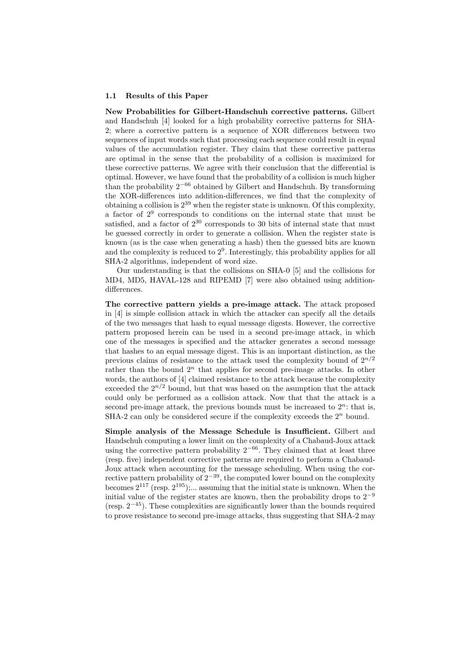#### 1.1 Results of this Paper

New Probabilities for Gilbert-Handschuh corrective patterns. Gilbert and Handschuh [4] looked for a high probability corrective patterns for SHA-2; where a corrective pattern is a sequence of XOR differences between two sequences of input words such that processing each sequence could result in equal values of the accumulation register. They claim that these corrective patterns are optimal in the sense that the probability of a collision is maximized for these corrective patterns. We agree with their conclusion that the differential is optimal. However, we have found that the probability of a collision is much higher than the probability  $2^{-66}$  obtained by Gilbert and Handschuh. By transforming the XOR-differences into addition-differences, we find that the complexity of obtaining a collision is  $2^{39}$  when the register state is unknown. Of this complexity, a factor of  $2^9$  corresponds to conditions on the internal state that must be satisfied, and a factor of  $2^{30}$  corresponds to 30 bits of internal state that must be guessed correctly in order to generate a collision. When the register state is known (as is the case when generating a hash) then the guessed bits are known and the complexity is reduced to  $2<sup>9</sup>$ . Interestingly, this probability applies for all SHA-2 algorithms, independent of word size.

Our understanding is that the collisions on SHA-0 [5] and the collisions for MD4, MD5, HAVAL-128 and RIPEMD [7] were also obtained using additiondifferences.

The corrective pattern yields a pre-image attack. The attack proposed in [4] is simple collision attack in which the attacker can specify all the details of the two messages that hash to equal message digests. However, the corrective pattern proposed herein can be used in a second pre-image attack, in which one of the messages is specified and the attacker generates a second message that hashes to an equal message digest. This is an important distinction, as the previous claims of resistance to the attack used the complexity bound of  $2^{n/2}$ rather than the bound  $2^n$  that applies for second pre-image attacks. In other words, the authors of [4] claimed resistance to the attack because the complexity exceeded the  $2^{n/2}$  bound, but that was based on the asumption that the attack could only be performed as a collision attack. Now that that the attack is a second pre-image attack, the previous bounds must be increased to  $2^n$ ; that is, SHA-2 can only be considered secure if the complexity exceeds the  $2<sup>n</sup>$  bound.

Simple analysis of the Message Schedule is Insufficient. Gilbert and Handschuh computing a lower limit on the complexity of a Chabaud-Joux attack using the corrective pattern probability  $2^{-66}$ . They claimed that at least three (resp. five) independent corrective patterns are required to perform a Chabaud-Joux attack when accounting for the message scheduling. When using the corrective pattern probability of  $2^{-39}$ , the computed lower bound on the complexity becomes  $2^{117}$  (resp.  $2^{195}$ );... assuming that the initial state is unknown. When the initial value of the register states are known, then the probability drops to  $2^{-9}$ (resp.  $2^{-45}$ ). These complexities are significantly lower than the bounds required to prove resistance to second pre-image attacks, thus suggesting that SHA-2 may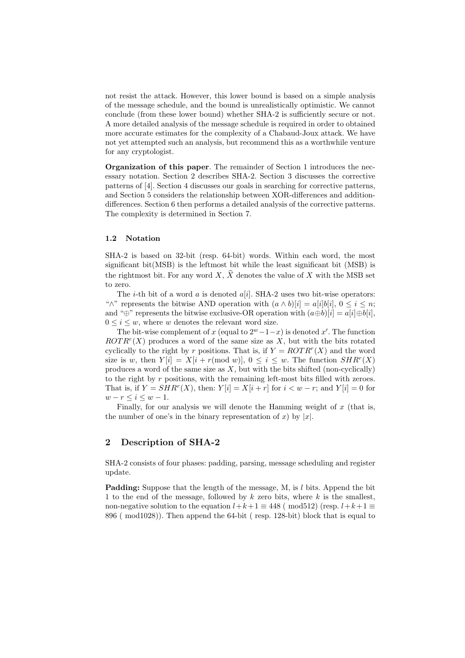not resist the attack. However, this lower bound is based on a simple analysis of the message schedule, and the bound is unrealistically optimistic. We cannot conclude (from these lower bound) whether SHA-2 is sufficiently secure or not. A more detailed analysis of the message schedule is required in order to obtained more accurate estimates for the complexity of a Chabaud-Joux attack. We have not yet attempted such an analysis, but recommend this as a worthwhile venture for any cryptologist.

Organization of this paper. The remainder of Section 1 introduces the necessary notation. Section 2 describes SHA-2. Section 3 discusses the corrective patterns of [4]. Section 4 discusses our goals in searching for corrective patterns, and Section 5 considers the relationship between XOR-differences and additiondifferences. Section 6 then performs a detailed analysis of the corrective patterns. The complexity is determined in Section 7.

### 1.2 Notation

SHA-2 is based on 32-bit (resp. 64-bit) words. Within each word, the most significant bit(MSB) is the leftmost bit while the least significant bit (MSB) is the rightmost bit. For any word X,  $\hat{X}$  denotes the value of X with the MSB set to zero.

The *i*-th bit of a word a is denoted  $a[i]$ . SHA-2 uses two bit-wise operators: " $\wedge$ " represents the bitwise AND operation with  $(a \wedge b)[i] = a[i]b[i], 0 \le i \le n;$ and "⊕" represents the bitwise exclusive-OR operation with  $(a \oplus b)[i] = a[i] \oplus b[i],$  $0 \leq i \leq w$ , where w denotes the relevant word size.

The bit-wise complement of x (equal to  $2^w - 1 - x$ ) is denoted x'. The function  $ROTR<sup>r</sup>(X)$  produces a word of the same size as X, but with the bits rotated cyclically to the right by r positions. That is, if  $Y = \text{ROTR}^r(X)$  and the word size is w, then  $Y[i] = X[i + r(\text{mod } w)], 0 \le i \le w$ . The function  $SHR^r(X)$ produces a word of the same size as  $X$ , but with the bits shifted (non-cyclically) to the right by r positions, with the remaining left-most bits filled with zeroes. That is, if  $Y = SHR^{r}(X)$ , then:  $Y[i] = X[i + r]$  for  $i < w - r$ ; and  $Y[i] = 0$  for  $w-r \leq i \leq w-1$ .

Finally, for our analysis we will denote the Hamming weight of  $x$  (that is, the number of one's in the binary representation of x) by |x|.

### 2 Description of SHA-2

SHA-2 consists of four phases: padding, parsing, message scheduling and register update.

Padding: Suppose that the length of the message, M, is l bits. Append the bit 1 to the end of the message, followed by  $k$  zero bits, where  $k$  is the smallest, non-negative solution to the equation  $l+k+1 \equiv 448$  ( mod512) (resp.  $l+k+1 \equiv$ 896 ( mod1028)). Then append the 64-bit ( resp. 128-bit) block that is equal to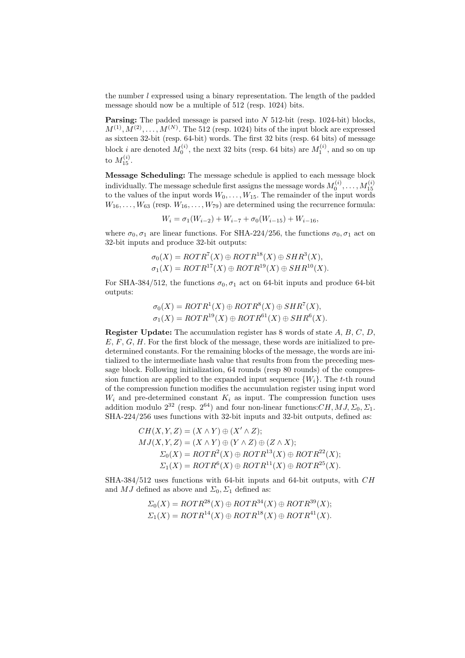the number  $l$  expressed using a binary representation. The length of the padded message should now be a multiple of 512 (resp. 1024) bits.

**Parsing:** The padded message is parsed into  $N$  512-bit (resp. 1024-bit) blocks,  $M^{(1)}, M^{(2)}, \ldots, M^{(N)}$ . The 512 (resp. 1024) bits of the input block are expressed as sixteen 32-bit (resp. 64-bit) words. The first 32 bits (resp. 64 bits) of message block *i* are denoted  $M_0^{(i)}$ , the next 32 bits (resp. 64 bits) are  $M_1^{(i)}$ , and so on up to  $M^{(i)}_{15}$ .

Message Scheduling: The message schedule is applied to each message block individually. The message schedule first assigns the message words  $M_0^{(i)},\ldots,M_{15}^{(i)}$ to the values of the input words  $W_0, \ldots, W_{15}$ . The remainder of the input words  $W_{16}, \ldots, W_{63}$  (resp.  $W_{16}, \ldots, W_{79}$ ) are determined using the recurrence formula:

$$
W_i = \sigma_1(W_{i-2}) + W_{i-7} + \sigma_0(W_{i-15}) + W_{i-16},
$$

where  $\sigma_0$ ,  $\sigma_1$  are linear functions. For SHA-224/256, the functions  $\sigma_0$ ,  $\sigma_1$  act on 32-bit inputs and produce 32-bit outputs:

$$
\sigma_0(X) = ROTR^7(X) \oplus ROTR^{18}(X) \oplus SHR^3(X),
$$
  

$$
\sigma_1(X) = ROTR^{17}(X) \oplus ROTR^{19}(X) \oplus SHR^{10}(X).
$$

For SHA-384/512, the functions  $\sigma_0$ ,  $\sigma_1$  act on 64-bit inputs and produce 64-bit outputs:

$$
\sigma_0(X) = ROTR^1(X) \oplus ROTR^8(X) \oplus SHR^7(X),
$$
  

$$
\sigma_1(X) = ROTR^{19}(X) \oplus ROTR^{61}(X) \oplus SHR^6(X).
$$

**Register Update:** The accumulation register has 8 words of state  $A, B, C, D$ ,  $E, F, G, H$ . For the first block of the message, these words are initialized to predetermined constants. For the remaining blocks of the message, the words are initialized to the intermediate hash value that results from from the preceding message block. Following initialization, 64 rounds (resp 80 rounds) of the compression function are applied to the expanded input sequence  $\{W_i\}$ . The t-th round of the compression function modifies the accumulation register using input word  $W_i$  and pre-determined constant  $K_i$  as input. The compression function uses addition modulo  $2^{32}$  (resp.  $2^{64}$ ) and four non-linear functions: CH, MJ,  $\Sigma_0$ ,  $\Sigma_1$ . SHA-224/256 uses functions with 32-bit inputs and 32-bit outputs, defined as:

$$
CH(X, Y, Z) = (X \wedge Y) \oplus (X' \wedge Z);
$$
  
\n
$$
MJ(X, Y, Z) = (X \wedge Y) \oplus (Y \wedge Z) \oplus (Z \wedge X);
$$
  
\n
$$
\Sigma_0(X) = ROTR^2(X) \oplus ROTR^{13}(X) \oplus ROTR^{22}(X);
$$
  
\n
$$
\Sigma_1(X) = ROTR^6(X) \oplus ROTR^{11}(X) \oplus ROTR^{25}(X).
$$

SHA-384/512 uses functions with 64-bit inputs and 64-bit outputs, with CH and MJ defined as above and  $\Sigma_0$ ,  $\Sigma_1$  defined as:

$$
\Sigma_0(X) = ROTR^{28}(X) \oplus ROTR^{34}(X) \oplus ROTR^{39}(X);
$$
  
\n
$$
\Sigma_1(X) = ROTR^{14}(X) \oplus ROTR^{18}(X) \oplus ROTR^{41}(X).
$$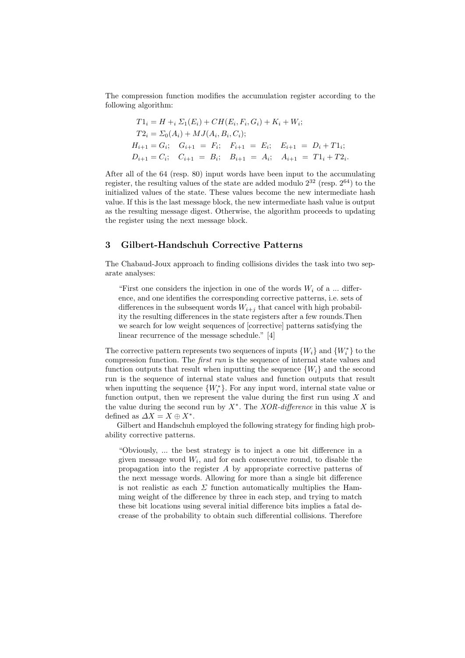The compression function modifies the accumulation register according to the following algorithm:

$$
T1_i = H +_i \Sigma_1(E_i) + CH(E_i, F_i, G_i) + K_i + W_i;
$$
  
\n
$$
T2_i = \Sigma_0(A_i) + MJ(A_i, B_i, C_i);
$$
  
\n
$$
H_{i+1} = G_i; \quad G_{i+1} = F_i; \quad F_{i+1} = E_i; \quad E_{i+1} = D_i + T1_i;
$$
  
\n
$$
D_{i+1} = C_i; \quad C_{i+1} = B_i; \quad B_{i+1} = A_i; \quad A_{i+1} = T1_i + T2_i.
$$

After all of the 64 (resp. 80) input words have been input to the accumulating register, the resulting values of the state are added modulo  $2^{32}$  (resp.  $2^{64}$ ) to the initialized values of the state. These values become the new intermediate hash value. If this is the last message block, the new intermediate hash value is output as the resulting message digest. Otherwise, the algorithm proceeds to updating the register using the next message block.

### 3 Gilbert-Handschuh Corrective Patterns

The Chabaud-Joux approach to finding collisions divides the task into two separate analyses:

"First one considers the injection in one of the words  $W_i$  of a ... difference, and one identifies the corresponding corrective patterns, i.e. sets of differences in the subsequent words  $W_{i+j}$  that cancel with high probability the resulting differences in the state registers after a few rounds.Then we search for low weight sequences of [corrective] patterns satisfying the linear recurrence of the message schedule." [4]

The corrective pattern represents two sequences of inputs  $\{W_i\}$  and  $\{W_i^*\}$  to the compression function. The first run is the sequence of internal state values and function outputs that result when inputting the sequence  $\{W_i\}$  and the second run is the sequence of internal state values and function outputs that result when inputting the sequence  $\{W_i^*\}$ . For any input word, internal state value or function output, then we represent the value during the first run using  $X$  and the value during the second run by  $X^*$ . The *XOR-difference* in this value X is defined as  $\Delta X = X \oplus X^*$ .

Gilbert and Handschuh employed the following strategy for finding high probability corrective patterns.

"Obviously, ... the best strategy is to inject a one bit difference in a given message word  $W_i$ , and for each consecutive round, to disable the propagation into the register A by appropriate corrective patterns of the next message words. Allowing for more than a single bit difference is not realistic as each  $\Sigma$  function automatically multiplies the Hamming weight of the difference by three in each step, and trying to match these bit locations using several initial difference bits implies a fatal decrease of the probability to obtain such differential collisions. Therefore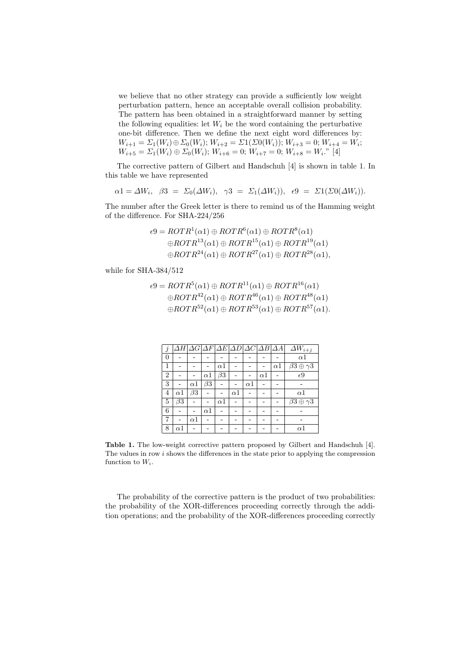we believe that no other strategy can provide a sufficiently low weight perturbation pattern, hence an acceptable overall collision probability. The pattern has been obtained in a straightforward manner by setting the following equalities: let  $W_i$  be the word containing the perturbative one-bit difference. Then we define the next eight word differences by:  $W_{i+1} = \Sigma_1(W_i) \oplus \Sigma_0(W_i); W_{i+2} = \Sigma_1(\Sigma_0(W_i)); W_{i+3} = 0; W_{i+4} = W_i;$  $W_{i+5} = \Sigma_1(W_i) \oplus \Sigma_0(W_i); W_{i+6} = 0; W_{i+7} = 0; W_{i+8} = W_i.$ " [4]

The corrective pattern of Gilbert and Handschuh [4] is shown in table 1. In this table we have represented

$$
\alpha 1 = \Delta W_i, \quad \beta 3 = \Sigma_0(\Delta W_i), \quad \gamma 3 = \Sigma_1(\Delta W_i)), \quad \epsilon 9 = \Sigma_1(\Sigma_0(\Delta W_i)).
$$

The number after the Greek letter is there to remind us of the Hamming weight of the difference. For SHA-224/256

$$
\epsilon 9 = ROTR1(\alpha 1) \oplus ROTR6(\alpha 1) \oplus ROTR8(\alpha 1)
$$
  
\n
$$
\oplus ROTR13(\alpha 1) \oplus ROTR15(\alpha 1) \oplus ROTR19(\alpha 1)
$$
  
\n
$$
\oplus ROTR24(\alpha 1) \oplus ROTR27(\alpha 1) \oplus ROTR28(\alpha 1),
$$

while for SHA-384/512

$$
\epsilon 9 = ROTR5(\alpha 1) \oplus ROTR11(\alpha 1) \oplus ROTR16(\alpha 1)
$$
  
\n
$$
\oplus ROTR42(\alpha 1) \oplus ROTR46(\alpha 1) \oplus ROTR48(\alpha 1)
$$
  
\n
$$
\oplus ROTR52(\alpha 1) \oplus ROTR53(\alpha 1) \oplus ROTR57(\alpha 1).
$$

| j              |              |            |            |              |            |            |            |            | $ \Delta H \Delta G \Delta F \Delta E \Delta D \Delta C \Delta B \Delta A $ $ \Delta W_{i+j} $ |
|----------------|--------------|------------|------------|--------------|------------|------------|------------|------------|------------------------------------------------------------------------------------------------|
| $\overline{0}$ |              |            |            |              |            |            |            |            | $\alpha$ 1                                                                                     |
| $\mathbf{1}$   |              |            |            | $_{\alpha1}$ |            |            |            | $\alpha$ 1 | $\beta 3 \oplus \gamma 3$                                                                      |
| $\overline{2}$ |              |            | $\alpha$ 1 | $\beta3$     |            |            | $\alpha$ 1 |            | $\epsilon$ 9                                                                                   |
| 3              |              | $\alpha$ 1 | $\beta$ 3  |              |            | $\alpha$ 1 |            |            |                                                                                                |
| $\overline{4}$ | $\alpha$ 1   | $\beta$ 3  |            |              | $\alpha$ 1 |            |            |            | $\alpha$ 1                                                                                     |
| 5              | $\beta3$     |            |            | $\alpha 1$   |            |            |            |            | $\beta 3 \oplus \gamma 3$                                                                      |
| 6              |              |            | $\alpha$ 1 |              |            |            |            |            |                                                                                                |
| 7              |              | $\alpha$ 1 |            |              |            |            |            |            |                                                                                                |
| 8              | $_{\alpha1}$ |            |            |              |            |            |            |            | $\alpha 1$                                                                                     |

Table 1. The low-weight corrective pattern proposed by Gilbert and Handschuh [4]. The values in row i shows the differences in the state prior to applying the compression function to  $W_i$ .

The probability of the corrective pattern is the product of two probabilities: the probability of the XOR-differences proceeding correctly through the addition operations; and the probability of the XOR-differences proceeding correctly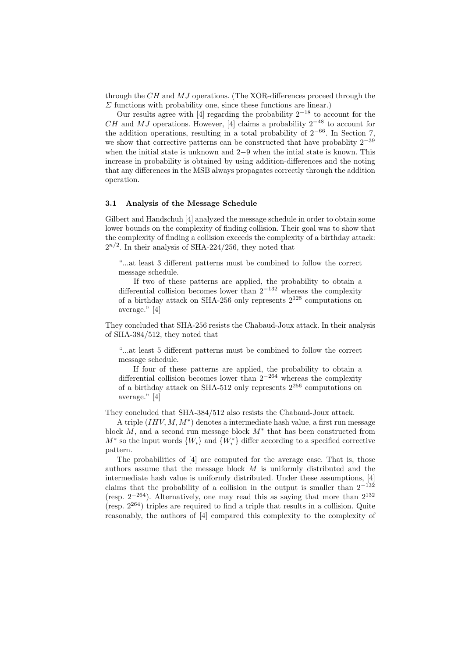through the  $CH$  and  $MJ$  operations. (The XOR-differences proceed through the  $\Sigma$  functions with probability one, since these functions are linear.)

Our results agree with [4] regarding the probability  $2^{-18}$  to account for the CH and MJ operations. However, [4] claims a probability  $2^{-48}$  to account for the addition operations, resulting in a total probability of  $2^{-66}$ . In Section 7, we show that corrective patterns can be constructed that have probablity  $2^{-39}$ when the initial state is unknown and 2−9 when the intial state is known. This increase in probability is obtained by using addition-differences and the noting that any differences in the MSB always propagates correctly through the addition operation.

### 3.1 Analysis of the Message Schedule

Gilbert and Handschuh [4] analyzed the message schedule in order to obtain some lower bounds on the complexity of finding collision. Their goal was to show that the complexity of finding a collision exceeds the complexity of a birthday attack:  $2^{n/2}$ . In their analysis of SHA-224/256, they noted that

"...at least 3 different patterns must be combined to follow the correct message schedule.

If two of these patterns are applied, the probability to obtain a differential collision becomes lower than  $2^{-132}$  whereas the complexity of a birthday attack on SHA-256 only represents  $2^{128}$  computations on average." [4]

They concluded that SHA-256 resists the Chabaud-Joux attack. In their analysis of SHA-384/512, they noted that

"...at least 5 different patterns must be combined to follow the correct message schedule.

If four of these patterns are applied, the probability to obtain a differential collision becomes lower than 2<sup>−</sup><sup>264</sup> whereas the complexity of a birthday attack on SHA-512 only represents  $2^{256}$  computations on average." [4]

They concluded that SHA-384/512 also resists the Chabaud-Joux attack.

A triple  $(IHV, M, M^*)$  denotes a intermediate hash value, a first run message block  $M$ , and a second run message block  $M^*$  that has been constructed from  $M^*$  so the input words  $\{W_i\}$  and  $\{W_i^*\}$  differ according to a specified corrective pattern.

The probabilities of [4] are computed for the average case. That is, those authors assume that the message block M is uniformly distributed and the intermediate hash value is uniformly distributed. Under these assumptions, [4] claims that the probability of a collision in the output is smaller than  $2^{-132}$ (resp.  $2^{-264}$ ). Alternatively, one may read this as saying that more than  $2^{132}$ (resp.  $2^{264}$ ) triples are required to find a triple that results in a collision. Quite reasonably, the authors of [4] compared this complexity to the complexity of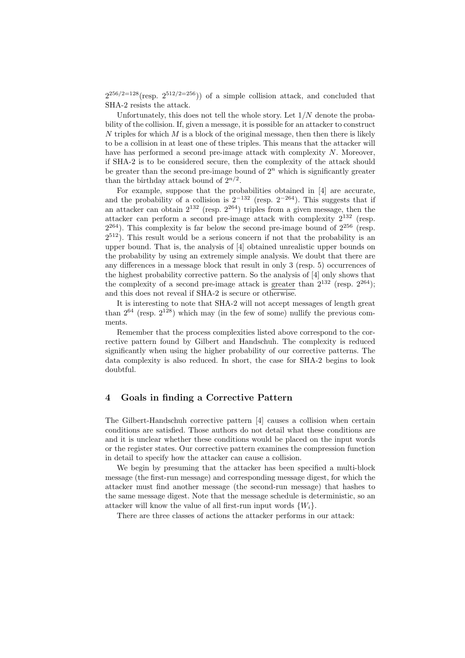$2^{256/2=128}$ (resp.  $2^{512/2=256}$ )) of a simple collision attack, and concluded that SHA-2 resists the attack.

Unfortunately, this does not tell the whole story. Let  $1/N$  denote the probability of the collision. If, given a message, it is possible for an attacker to construct N triples for which  $M$  is a block of the original message, then then there is likely to be a collision in at least one of these triples. This means that the attacker will have has performed a second pre-image attack with complexity N. Moreover, if SHA-2 is to be considered secure, then the complexity of the attack should be greater than the second pre-image bound of  $2<sup>n</sup>$  which is significantly greater than the birthday attack bound of  $2^{n/2}$ .

For example, suppose that the probabilities obtained in [4] are accurate, and the probability of a collision is  $2^{-132}$  (resp.  $2^{-264}$ ). This suggests that if an attacker can obtain  $2^{132}$  (resp.  $2^{264}$ ) triples from a given message, then the attacker can perform a second pre-image attack with complexity 2<sup>132</sup> (resp.  $2^{264}$ ). This complexity is far below the second pre-image bound of  $2^{256}$  (resp.  $2^{512}$ ). This result would be a serious concern if not that the probability is an upper bound. That is, the analysis of [4] obtained unrealistic upper bounds on the probability by using an extremely simple analysis. We doubt that there are any differences in a message block that result in only 3 (resp. 5) occurrences of the highest probability corrective pattern. So the analysis of [4] only shows that the complexity of a second pre-image attack is greater than  $2^{132}$  (resp.  $2^{264}$ ); and this does not reveal if SHA-2 is secure or otherwise.

It is interesting to note that SHA-2 will not accept messages of length great than  $2^{64}$  (resp.  $2^{128}$ ) which may (in the few of some) nullify the previous comments.

Remember that the process complexities listed above correspond to the corrective pattern found by Gilbert and Handschuh. The complexity is reduced significantly when using the higher probability of our corrective patterns. The data complexity is also reduced. In short, the case for SHA-2 begins to look doubtful.

## 4 Goals in finding a Corrective Pattern

The Gilbert-Handschuh corrective pattern [4] causes a collision when certain conditions are satisfied. Those authors do not detail what these conditions are and it is unclear whether these conditions would be placed on the input words or the register states. Our corrective pattern examines the compression function in detail to specify how the attacker can cause a collision.

We begin by presuming that the attacker has been specified a multi-block message (the first-run message) and corresponding message digest, for which the attacker must find another message (the second-run message) that hashes to the same message digest. Note that the message schedule is deterministic, so an attacker will know the value of all first-run input words  $\{W_i\}$ .

There are three classes of actions the attacker performs in our attack: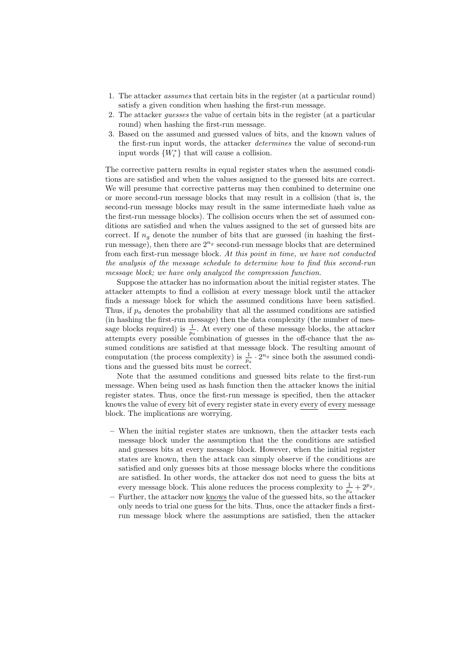- 1. The attacker assumes that certain bits in the register (at a particular round) satisfy a given condition when hashing the first-run message.
- 2. The attacker guesses the value of certain bits in the register (at a particular round) when hashing the first-run message.
- 3. Based on the assumed and guessed values of bits, and the known values of the first-run input words, the attacker determines the value of second-run input words  $\{W_i^*\}$  that will cause a collision.

The corrective pattern results in equal register states when the assumed conditions are satisfied and when the values assigned to the guessed bits are correct. We will presume that corrective patterns may then combined to determine one or more second-run message blocks that may result in a collision (that is, the second-run message blocks may result in the same intermediate hash value as the first-run message blocks). The collision occurs when the set of assumed conditions are satisfied and when the values assigned to the set of guessed bits are correct. If  $n_q$  denote the number of bits that are guessed (in hashing the firstrun message), then there are  $2^{n_g}$  second-run message blocks that are determined from each first-run message block. At this point in time, we have not conducted the analysis of the message schedule to determine how to find this second-run message block; we have only analyzed the compression function.

Suppose the attacker has no information about the initial register states. The attacker attempts to find a collision at every message block until the attacker finds a message block for which the assumed conditions have been satisfied. Thus, if  $p_a$  denotes the probability that all the assumed conditions are satisfied (in hashing the first-run message) then the data complexity (the number of message blocks required) is  $\frac{1}{p_a}$ . At every one of these message blocks, the attacker attempts every possible combination of guesses in the off-chance that the assumed conditions are satisfied at that message block. The resulting amount of computation (the process complexity) is  $\frac{1}{p_a} \cdot 2^{n_g}$  since both the assumed conditions and the guessed bits must be correct.

Note that the assumed conditions and guessed bits relate to the first-run message. When being used as hash function then the attacker knows the initial register states. Thus, once the first-run message is specified, then the attacker knows the value of every bit of every register state in every every of every message block. The implications are worrying.

- When the initial register states are unknown, then the attacker tests each message block under the assumption that the the conditions are satisfied and guesses bits at every message block. However, when the initial register states are known, then the attack can simply observe if the conditions are satisfied and only guesses bits at those message blocks where the conditions are satisfied. In other words, the attacker dos not need to guess the bits at every message block. This alone reduces the process complexity to  $\frac{1}{p_a} + 2^{p_g}$ .
- Further, the attacker now knows the value of the guessed bits, so the attacker only needs to trial one guess for the bits. Thus, once the attacker finds a firstrun message block where the assumptions are satisfied, then the attacker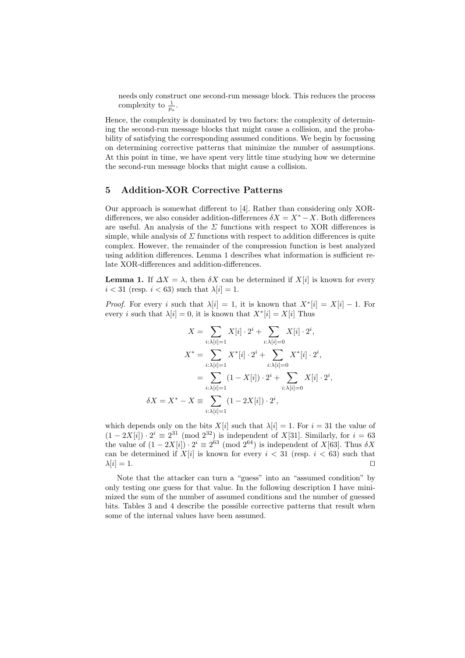needs only construct one second-run message block. This reduces the process complexity to  $\frac{1}{p_a}$ .

Hence, the complexity is dominated by two factors: the complexity of determining the second-run message blocks that might cause a collision, and the probability of satisfying the corresponding assumed conditions. We begin by focussing on determining corrective patterns that minimize the number of assumptions. At this point in time, we have spent very little time studying how we determine the second-run message blocks that might cause a collision.

## 5 Addition-XOR Corrective Patterns

Our approach is somewhat different to [4]. Rather than considering only XORdifferences, we also consider addition-differences  $\delta X = X^* - X$ . Both differences are useful. An analysis of the  $\Sigma$  functions with respect to XOR differences is simple, while analysis of  $\Sigma$  functions with respect to addition differences is quite complex. However, the remainder of the compression function is best analyzed using addition differences. Lemma 1 describes what information is sufficient relate XOR-differences and addition-differences.

**Lemma 1.** If  $\Delta X = \lambda$ , then  $\delta X$  can be determined if  $X[i]$  is known for every  $i < 31$  (resp.  $i < 63$ ) such that  $\lambda[i] = 1$ .

*Proof.* For every i such that  $\lambda[i] = 1$ , it is known that  $X^*[i] = X[i] - 1$ . For every *i* such that  $\lambda[i] = 0$ , it is known that  $X^*[i] = X[i]$  Thus

$$
X = \sum_{i:\lambda[i]=1} X[i] \cdot 2^i + \sum_{i:\lambda[i]=0} X[i] \cdot 2^i,
$$
  

$$
X^* = \sum_{i:\lambda[i]=1} X^*[i] \cdot 2^i + \sum_{i:\lambda[i]=0} X^*[i] \cdot 2^i,
$$
  

$$
= \sum_{i:\lambda[i]=1} (1 - X[i]) \cdot 2^i + \sum_{i:\lambda[i]=0} X[i] \cdot 2^i,
$$
  

$$
\delta X = X^* - X \equiv \sum_{i:\lambda[i]=1} (1 - 2X[i]) \cdot 2^i,
$$

which depends only on the bits  $X[i]$  such that  $\lambda[i] = 1$ . For  $i = 31$  the value of  $(1 - 2X[i]) \cdot 2^i \equiv 2^{31} \pmod{2^{32}}$  is independent of X[31]. Similarly, for  $i = 63$ the value of  $(1 - 2X[i]) \cdot 2^i \equiv 2^{63} \pmod{2^{64}}$  is independent of  $X[63]$ . Thus  $\delta X$ can be determined if  $X[i]$  is known for every  $i < 31$  (resp.  $i < 63$ ) such that  $\lambda[i] = 1.$ 

Note that the attacker can turn a "guess" into an "assumed condition" by only testing one guess for that value. In the following description I have minimized the sum of the number of assumed conditions and the number of guessed bits. Tables 3 and 4 describe the possible corrective patterns that result when some of the internal values have been assumed.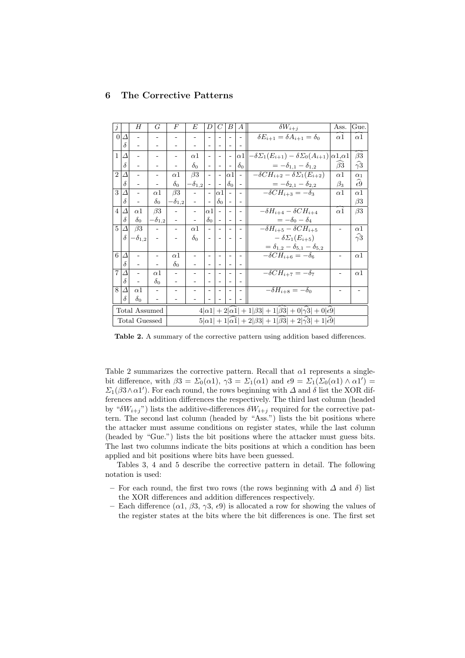# 6 The Corrective Patterns

| $\dot{j}$      |          | H                    | G                 | $\overline{F}$    | E                        | D                        | C                        | B                        | А                        | $\delta W_{i+j}$                                                                    | Ass.                   | Gue.                   |
|----------------|----------|----------------------|-------------------|-------------------|--------------------------|--------------------------|--------------------------|--------------------------|--------------------------|-------------------------------------------------------------------------------------|------------------------|------------------------|
| $\Omega$       | Δ        |                      |                   |                   |                          |                          |                          |                          |                          | $\delta E_{i+1} = \delta A_{i+1} = \delta_0$                                        | $\alpha$ 1             | $\alpha 1$             |
|                | $\delta$ |                      |                   |                   |                          |                          |                          |                          |                          |                                                                                     |                        |                        |
| $\mathbf{1}$   | Δ        |                      | $\qquad \qquad -$ |                   | $\alpha$ 1               | $\overline{\phantom{a}}$ | $\overline{\phantom{a}}$ | $\overline{\phantom{a}}$ | $\alpha$ 1               | $-\delta\Sigma_1(E_{i+1}) - \delta\Sigma_0(A_{i+1})$                                | $\alpha$ 1, $\alpha$ 1 | $\widehat{\beta3}$     |
|                | $\delta$ |                      |                   |                   | $\delta_0$               | $\overline{\phantom{a}}$ |                          |                          | $\delta_0$               | $=-\delta_{1,1}-\delta_{1,2}$                                                       | $\beta$ 3              | $\widehat{\gamma}3$    |
| $\overline{2}$ | Δ        |                      | ۰                 | $\alpha$ 1        | $\beta$ 3                | $\overline{\phantom{a}}$ | $\overline{\phantom{a}}$ | $\alpha$ 1               |                          | $-\delta CH_{i+2} - \delta \Sigma_1(E_{i+2})$                                       | $\alpha$ 1             | $\alpha_1$             |
|                | $\delta$ |                      |                   | $\delta_0$        | $-\delta_{1,2}$          | $\overline{\phantom{a}}$ | $\overline{\phantom{a}}$ | $\delta_0$               | $\overline{\phantom{m}}$ | $=-\delta_{2,1}-\delta_{2,2}$                                                       | $\beta_3$              | $\widehat{\epsilon 9}$ |
| 3              | Δ        |                      | $\alpha$ 1        | $\beta$ 3         |                          | $\overline{\phantom{a}}$ | $\alpha$ 1               | $\sim$                   |                          | $-\delta CH_{i+3} = -\delta_3$                                                      | $\alpha$ 1             | $\alpha$ 1             |
|                | $\delta$ |                      | $\delta_0$        | $-\delta_{1,2}$   |                          |                          | $\delta_0$               |                          |                          |                                                                                     |                        | $\beta$ 3              |
| $\overline{4}$ | Δ        | $\alpha$ 1           | $\beta 3$         |                   | $\overline{\phantom{0}}$ | $\alpha 1$               | $\overline{\phantom{a}}$ | $\sim$                   |                          | $-\delta H_{i+4} - \delta CH_{i+4}$                                                 | $\widehat{\alpha 1}$   | $\beta$ 3              |
|                | $\delta$ | $\delta_0$           | $-\delta_{1,2}$   |                   | ۰                        | $\delta_0$               | $\sim$                   | $\sim$                   | $\blacksquare$           | $=-\delta_0-\delta_4$                                                               |                        |                        |
| $\overline{5}$ | Δ        | $\beta$ 3            |                   | $\frac{1}{2}$     | $\alpha$ 1               | $\overline{a}$           |                          |                          |                          | $-\delta H_{i+5} - \delta CH_{i+5}$                                                 |                        | $\alpha$               |
|                | δ        | $-\delta_{1,2}$      |                   |                   | $\delta_0$               | $\overline{\phantom{a}}$ |                          |                          |                          | $-\delta\Sigma_1(E_{i+5})$                                                          |                        | $\widehat{\gamma}3$    |
|                |          |                      |                   |                   |                          |                          |                          |                          |                          | $= \delta_{1,2} - \delta_{5,1} - \delta_{5,2}$                                      |                        |                        |
| 6              | Δ        |                      | -                 | $\alpha$ 1        | $\qquad \qquad -$        | ٠                        | ۰                        | ٠                        |                          | $-\delta CH_{i+6} = -\delta_6$                                                      |                        | $\alpha$ 1             |
|                | $\delta$ |                      |                   | $\delta_0$        |                          | $\overline{\phantom{a}}$ |                          |                          |                          |                                                                                     |                        |                        |
| $\overline{7}$ | Δ        |                      | $\alpha$ 1        | $\qquad \qquad -$ |                          | ۰                        |                          |                          |                          | $\overline{-\delta}CH_{i+7}=-\delta_7$                                              |                        | $\alpha$ 1             |
|                | $\delta$ |                      | $\delta_0$        |                   |                          |                          |                          |                          |                          |                                                                                     |                        |                        |
| 8              | Δ        | $\alpha$ 1           |                   |                   |                          |                          |                          |                          |                          | $-\delta H_{i+8} = -\delta_0$                                                       |                        |                        |
|                | δ        | $\delta_0$           |                   |                   |                          |                          |                          |                          |                          |                                                                                     |                        |                        |
|                |          | <b>Total Assumed</b> |                   |                   |                          |                          |                          |                          |                          | $4 \alpha 1  + 2 \alpha 1  + 1 \beta 3  + 1 \beta 3  + 0 \gamma 3  + 0 \epsilon 9 $ |                        |                        |
|                |          | Total Guessed        |                   |                   |                          |                          |                          |                          |                          | $5 \alpha 1 +1 \alpha 1 +2 \beta 3 +1 \beta 3 +2 \gamma 3 +1 \epsilon 9 $           |                        |                        |

Table 2. A summary of the corrective pattern using addition based differences.

Table 2 summarizes the corrective pattern. Recall that  $\alpha$ 1 represents a singlebit difference, with  $\beta 3 = \Sigma_0(\alpha 1)$ ,  $\gamma 3 = \Sigma_1(\alpha 1)$  and  $\epsilon 9 = \Sigma_1(\Sigma_0(\alpha 1) \wedge \alpha 1') =$  $\Sigma_1(\beta 3 \wedge \alpha 1')$ . For each round, the rows beginning with  $\Delta$  and  $\delta$  list the XOR differences and addition differences the respectively. The third last column (headed by " $\delta W_{i+j}$ ") lists the additive-differences  $\delta W_{i+j}$  required for the corrective pattern. The second last column (headed by "Ass.") lists the bit positions where the attacker must assume conditions on register states, while the last column (headed by "Gue.") lists the bit positions where the attacker must guess bits. The last two columns indicate the bits positions at which a condition has been applied and bit positions where bits have been guessed.

Tables 3, 4 and 5 describe the corrective pattern in detail. The following notation is used:

- For each round, the first two rows (the rows beginning with  $\Delta$  and  $\delta$ ) list the XOR differences and addition differences respectively.
- Each difference  $(\alpha_1, \beta_3, \gamma_3, \epsilon_9)$  is allocated a row for showing the values of the register states at the bits where the bit differences is one. The first set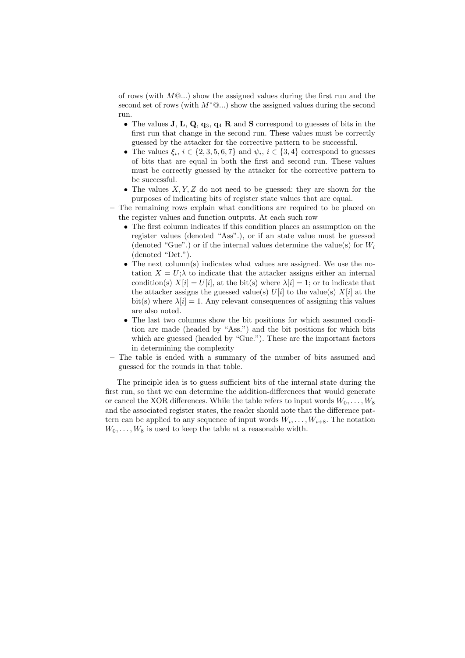of rows (with  $M @...$ ) show the assigned values during the first run and the second set of rows (with  $M^*@...$ ) show the assigned values during the second run.

- The values  $J, L, Q, q_3, q_4 R$  and S correspond to guesses of bits in the first run that change in the second run. These values must be correctly guessed by the attacker for the corrective pattern to be successful.
- The values  $\xi_i, i \in \{2, 3, 5, 6, 7\}$  and  $\psi_i, i \in \{3, 4\}$  correspond to guesses of bits that are equal in both the first and second run. These values must be correctly guessed by the attacker for the corrective pattern to be successful.
- The values  $X, Y, Z$  do not need to be guessed: they are shown for the purposes of indicating bits of register state values that are equal.
- The remaining rows explain what conditions are required to be placed on the register values and function outputs. At each such row
	- The first column indicates if this condition places an assumption on the register values (denoted "Ass".), or if an state value must be guessed (denoted "Gue".) or if the internal values determine the value(s) for  $W_i$ (denoted "Det.").
	- The next column(s) indicates what values are assigned. We use the notation  $X = U; \lambda$  to indicate that the attacker assigns either an internal condition(s)  $X[i] = U[i]$ , at the bit(s) where  $\lambda[i] = 1$ ; or to indicate that the attacker assigns the guessed value(s)  $U[i]$  to the value(s)  $X[i]$  at the bit(s) where  $\lambda[i] = 1$ . Any relevant consequences of assigning this values are also noted.
	- The last two columns show the bit positions for which assumed condition are made (headed by "Ass.") and the bit positions for which bits which are guessed (headed by "Gue."). These are the important factors in determining the complexity
- The table is ended with a summary of the number of bits assumed and guessed for the rounds in that table.

The principle idea is to guess sufficient bits of the internal state during the first run, so that we can determine the addition-differences that would generate or cancel the XOR differences. While the table refers to input words  $W_0, \ldots, W_8$ and the associated register states, the reader should note that the difference pattern can be applied to any sequence of input words  $W_i, \ldots, W_{i+8}$ . The notation  $W_0, \ldots, W_8$  is used to keep the table at a reasonable width.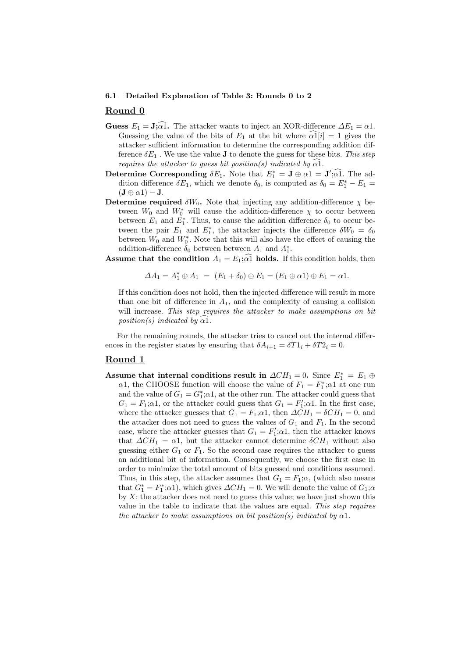#### 6.1 Detailed Explanation of Table 3: Rounds 0 to 2

### Round 0

- **Guess**  $E_1 = \mathbf{J}$ ; $\widehat{\alpha}$ . The attacker wants to inject an XOR-difference  $\Delta E_1 = \alpha 1$ . Guessing the value of the bits of  $E_1$  at the bit where  $\alpha 1[i] = 1$  gives the attacker sufficient information to determine the corresponding addition difference  $\delta E_1$ . We use the value **J** to denote the guess for these bits. This step requires the attacker to guess bit position(s) indicated by  $\alpha$ 1.
- Determine Corresponding  $\delta E_1$ . Note that  $E_1^* = \mathbf{J} \oplus \alpha \mathbf{1} = \mathbf{J}'; \widehat{\alpha} \widehat{\mathbf{1}}$ . The addition difference  $\delta E_1$ , which we denote  $\delta_0$ , is computed as  $\delta_0 = E_1^* - E_1 =$  $(\mathbf{J} \oplus \alpha 1) - \mathbf{J}.$
- Determine required  $\delta W_0$ . Note that injecting any addition-difference  $\chi$  between  $W_0$  and  $W_0^*$  will cause the addition-difference  $\chi$  to occur between between  $E_1$  and  $E_1^*$ . Thus, to cause the addition difference  $\delta_0$  to occur between the pair  $E_1$  and  $E_1^*$ , the attacker injects the difference  $\delta W_0 = \delta_0$ between  $W_0$  and  $W_0^*$ . Note that this will also have the effect of causing the addition-difference  $\delta_0$  between between  $A_1$  and  $A_1^*$ .
- **Assume that the condition**  $A_1 = E_1$ ;  $\alpha \overline{1}$  **holds.** If this condition holds, then

$$
\Delta A_1 = A_1^* \oplus A_1 = (E_1 + \delta_0) \oplus E_1 = (E_1 \oplus \alpha 1) \oplus E_1 = \alpha 1.
$$

If this condition does not hold, then the injected difference will result in more than one bit of difference in  $A_1$ , and the complexity of causing a collision will increase. This step requires the attacker to make assumptions on bit position(s) indicated by  $\widehat{\alpha}$ .

For the remaining rounds, the attacker tries to cancel out the internal differences in the register states by ensuring that  $\delta A_{i+1} = \delta T 1_i + \delta T 2_i = 0$ .

### Round 1

Assume that internal conditions result in  $\Delta CH_1 = 0$ . Since  $E_1^* = E_1 \oplus$  $\alpha$ 1, the CHOOSE function will choose the value of  $F_1 = F_1^*; \alpha$ 1 at one run and the value of  $G_1 = G_1^*; \alpha 1$ , at the other run. The attacker could guess that  $G_1 = F_1; \alpha 1$ , or the attacker could guess that  $G_1 = F'_1; \alpha 1$ . In the first case, where the attacker guesses that  $G_1 = F_1$ ; $\alpha$ 1, then  $\Delta CH_1 = \delta CH_1 = 0$ , and the attacker does not need to guess the values of  $G_1$  and  $F_1$ . In the second case, where the attacker guesses that  $G_1 = F'_1; \alpha 1$ , then the attacker knows that  $\Delta CH_1 = \alpha 1$ , but the attacker cannot determine  $\delta CH_1$  without also guessing either  $G_1$  or  $F_1$ . So the second case requires the attacker to guess an additional bit of information. Consequently, we choose the first case in order to minimize the total amount of bits guessed and conditions assumed. Thus, in this step, the attacker assumes that  $G_1 = F_1; \alpha$ , (which also means that  $G_1^* = F_1^*$ ; $\alpha$ 1), which gives  $\Delta CH_1 = 0$ . We will denote the value of  $G_1$ ; $\alpha$ by  $X$ : the attacker does not need to guess this value; we have just shown this value in the table to indicate that the values are equal. This step requires the attacker to make assumptions on bit position(s) indicated by  $\alpha$ 1.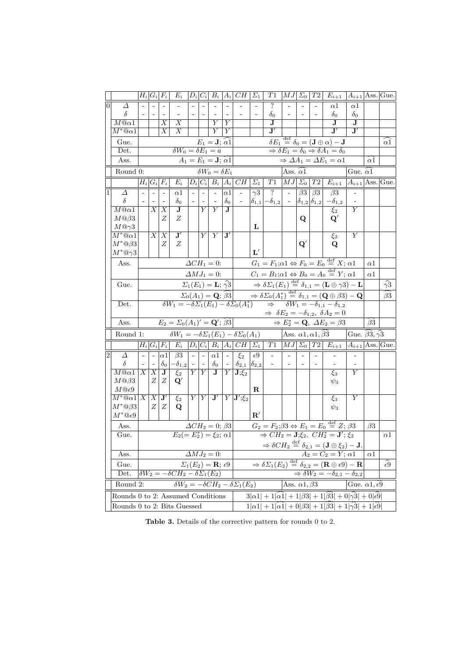|                |                                                                                                                                                                                 |                                                 |                                                                                                                  | $H_i G_i F_i $           | $E_i$                                               |                          |                          |                                             |                                                                                      | $ D_i C_i B_i A_i CH$                                                                                                                                                             | $\Sigma_1$                                                                                                                             | T1                              | $\vert MJ\vert$ |               | $\Sigma_0$   $T2$                                                                                                      | $E_{i+1}$   $A_{i+1}$  Ass. Gue.                                                                               |                                              |            |                        |
|----------------|---------------------------------------------------------------------------------------------------------------------------------------------------------------------------------|-------------------------------------------------|------------------------------------------------------------------------------------------------------------------|--------------------------|-----------------------------------------------------|--------------------------|--------------------------|---------------------------------------------|--------------------------------------------------------------------------------------|-----------------------------------------------------------------------------------------------------------------------------------------------------------------------------------|----------------------------------------------------------------------------------------------------------------------------------------|---------------------------------|-----------------|---------------|------------------------------------------------------------------------------------------------------------------------|----------------------------------------------------------------------------------------------------------------|----------------------------------------------|------------|------------------------|
| $\overline{0}$ | Δ                                                                                                                                                                               |                                                 |                                                                                                                  |                          |                                                     |                          |                          |                                             |                                                                                      |                                                                                                                                                                                   |                                                                                                                                        | $\overline{?}$                  |                 |               |                                                                                                                        | $\alpha$ 1                                                                                                     | $\alpha$ 1                                   |            |                        |
|                | $\delta$                                                                                                                                                                        |                                                 | $\overline{\phantom{a}}$                                                                                         |                          |                                                     |                          |                          |                                             |                                                                                      |                                                                                                                                                                                   |                                                                                                                                        | $\delta_0$                      |                 |               |                                                                                                                        | $\delta_0$                                                                                                     | $\delta_0$                                   |            |                        |
|                | $M@ \alpha 1$                                                                                                                                                                   |                                                 |                                                                                                                  | X                        | Х                                                   |                          |                          | Y                                           | Y                                                                                    |                                                                                                                                                                                   |                                                                                                                                        | J                               |                 |               |                                                                                                                        | J                                                                                                              | J                                            |            |                        |
|                | $M^*\text{\textcircled{a}} a1$                                                                                                                                                  |                                                 |                                                                                                                  | $\overline{X}$           | Χ                                                   |                          |                          | Y                                           | Y                                                                                    |                                                                                                                                                                                   |                                                                                                                                        | $\mathbf{J}'$                   |                 |               |                                                                                                                        | $\mathbf{J}'$                                                                                                  | J'                                           |            |                        |
|                | Gue.                                                                                                                                                                            |                                                 |                                                                                                                  |                          |                                                     |                          |                          | $E_1 = \mathbf{J}; \alpha 1$                |                                                                                      |                                                                                                                                                                                   |                                                                                                                                        |                                 |                 |               |                                                                                                                        | $\overline{\delta E_1} \stackrel{\text{def}}{=} \overline{\delta_0} = (\mathbf{J} \oplus \alpha) - \mathbf{J}$ |                                              |            | $_{\alpha1}$           |
|                | Det.                                                                                                                                                                            |                                                 |                                                                                                                  |                          | $\delta W_0 = \delta E_1 = a$                       |                          |                          |                                             |                                                                                      |                                                                                                                                                                                   |                                                                                                                                        |                                 |                 |               |                                                                                                                        | $\Rightarrow \delta E_1 = \delta_0 \Rightarrow \delta A_1 = \delta_0$                                          |                                              |            |                        |
|                | Ass.                                                                                                                                                                            |                                                 |                                                                                                                  |                          |                                                     |                          |                          | $A_1 = E_1 = \mathbf{J}; \alpha 1$          |                                                                                      |                                                                                                                                                                                   |                                                                                                                                        |                                 |                 |               |                                                                                                                        | $\Rightarrow \Delta A_1 = \Delta E_1 = \alpha 1$                                                               |                                              | $\alpha$   |                        |
|                | Round 0:                                                                                                                                                                        |                                                 |                                                                                                                  |                          |                                                     |                          |                          | $\delta W_0 = \delta E_1$                   |                                                                                      |                                                                                                                                                                                   |                                                                                                                                        |                                 | Ass. $\alpha$ 1 |               |                                                                                                                        |                                                                                                                | Gue. $\alpha$ 1                              |            |                        |
|                |                                                                                                                                                                                 |                                                 |                                                                                                                  | $H_i G_i F_i $           | $E_i$                                               |                          |                          |                                             |                                                                                      | $ D_i C_i  \overline{B_i A_i }\overline{CH} \Sigma_1 $                                                                                                                            |                                                                                                                                        |                                 |                 |               |                                                                                                                        | $T1 \,  MJ \Sigma_0  \, T2 \,  E_{i+1} $                                                                       | $ A_{i+1} $ Ass. Gue.                        |            |                        |
|                | Δ<br>$\delta$                                                                                                                                                                   |                                                 | $\overline{\phantom{a}}$                                                                                         | $\overline{\phantom{a}}$ | $\alpha 1$<br>$\delta_0$                            | $\overline{\phantom{a}}$ | $\overline{\phantom{a}}$ | $\sim$                                      | $ \alpha 1 $<br>$\delta_0$                                                           |                                                                                                                                                                                   | $\gamma\overline{3}$<br>$\delta_{1,1}$                                                                                                 | $\overline{\mathcal{E}}$        | $\omega$        | $\beta$ 3     | $\beta3$                                                                                                               | $\beta$ 3                                                                                                      |                                              |            |                        |
|                | $M@ \alpha 1$                                                                                                                                                                   |                                                 | $\overline{X}$                                                                                                   | $\overline{X}$           | J                                                   |                          | Y                        | $\overline{\phantom{a}}$<br>Y               | $\bf J$                                                                              |                                                                                                                                                                                   |                                                                                                                                        | $\left. -\delta_{1,2}\right $ - |                 |               | $\delta_{1,2} \delta_{1,2} $                                                                                           | $-\delta_{1,2}$<br>$\xi_2$                                                                                     | $\overline{Y}$                               |            |                        |
|                | $M@{\beta 3}$                                                                                                                                                                   |                                                 |                                                                                                                  | Ζ                        | Ζ                                                   |                          |                          |                                             |                                                                                      |                                                                                                                                                                                   |                                                                                                                                        |                                 |                 | Q             |                                                                                                                        | $\mathbf{Q}'$                                                                                                  |                                              |            |                        |
|                | $M@{\gamma}3$                                                                                                                                                                   |                                                 |                                                                                                                  |                          |                                                     |                          |                          |                                             |                                                                                      |                                                                                                                                                                                   | L                                                                                                                                      |                                 |                 |               |                                                                                                                        |                                                                                                                |                                              |            |                        |
|                | $M^*@ \alpha 1$                                                                                                                                                                 |                                                 | $X \$                                                                                                            | X                        | J'                                                  |                          | $\overline{Y}$           | Y                                           | $\mathbf{J}'$                                                                        |                                                                                                                                                                                   |                                                                                                                                        |                                 |                 |               |                                                                                                                        | $\xi_2$                                                                                                        | Υ                                            |            |                        |
|                | $M^*@63$                                                                                                                                                                        |                                                 |                                                                                                                  | Ζ                        | Ζ                                                   |                          |                          |                                             |                                                                                      |                                                                                                                                                                                   |                                                                                                                                        |                                 |                 | $\mathbf{Q}'$ |                                                                                                                        | Q                                                                                                              |                                              |            |                        |
|                | $M^*@{\gamma}3$                                                                                                                                                                 |                                                 |                                                                                                                  |                          |                                                     |                          |                          |                                             |                                                                                      |                                                                                                                                                                                   | $\mathbf{L}'$                                                                                                                          |                                 |                 |               |                                                                                                                        |                                                                                                                |                                              |            |                        |
|                | Ass.                                                                                                                                                                            | $\Delta CH_1 = 0$ :                             |                                                                                                                  |                          |                                                     |                          |                          |                                             |                                                                                      |                                                                                                                                                                                   |                                                                                                                                        |                                 |                 |               | $G_1 = F_1; \alpha \in F_0 = E_0 \stackrel{\text{def}}{=} X; \alpha \in$                                               |                                                                                                                | $\alpha$                                     |            |                        |
|                | $\Delta MJ_1=0$ :                                                                                                                                                               |                                                 |                                                                                                                  |                          |                                                     |                          |                          |                                             | $C_1 = B_1; \alpha 1 \Leftrightarrow B_0 = A_0 \stackrel{\text{def}}{=} Y; \alpha 1$ |                                                                                                                                                                                   |                                                                                                                                        |                                 |                 |               |                                                                                                                        |                                                                                                                |                                              |            |                        |
|                | $\Sigma_1(E_1) = \mathbf{L}; \widehat{\gamma_3} \longrightarrow \delta \Sigma_1(E_1) \stackrel{\text{def}}{=} \delta_{1,1} = (\mathbf{L} \oplus \gamma_3) - \mathbf{L}$<br>Gue. |                                                 |                                                                                                                  |                          |                                                     |                          |                          |                                             |                                                                                      |                                                                                                                                                                                   |                                                                                                                                        |                                 |                 |               |                                                                                                                        |                                                                                                                | $\frac{\widehat{\gamma3}}{\widehat{\beta3}}$ |            |                        |
|                |                                                                                                                                                                                 | $\Sigma_0(A_1) = \mathbf{Q}; \widehat{\beta 3}$ |                                                                                                                  |                          |                                                     |                          |                          |                                             |                                                                                      |                                                                                                                                                                                   |                                                                                                                                        |                                 |                 |               | $\Rightarrow$ $\delta\Sigma_0(A_1^*) \stackrel{\text{def}}{=} \delta_{1,1} = (\mathbf{Q} \oplus \beta 3) - \mathbf{Q}$ |                                                                                                                |                                              |            |                        |
|                | Det.                                                                                                                                                                            |                                                 | $\delta W_1 = -\delta \Sigma_1(E_1) - \delta \Sigma_0(A_1^*) \implies \delta W_1 = -\delta_{1,1} - \delta_{1,2}$ |                          |                                                     |                          |                          |                                             |                                                                                      |                                                                                                                                                                                   |                                                                                                                                        |                                 |                 |               |                                                                                                                        |                                                                                                                |                                              |            |                        |
|                |                                                                                                                                                                                 |                                                 |                                                                                                                  |                          |                                                     |                          |                          |                                             |                                                                                      | $\Rightarrow \delta E_2 = -\delta_{1,2}, \ \delta A_2 = 0$<br>$\Rightarrow E_2^* = \mathbf{Q}, \ \overline{\Delta E_2} = \beta 3$                                                 |                                                                                                                                        |                                 |                 |               |                                                                                                                        |                                                                                                                |                                              |            |                        |
|                | Ass.                                                                                                                                                                            |                                                 |                                                                                                                  |                          | $E_2 = \Sigma_0(A_1)' = \mathbf{Q}'; \hat{\beta}3$  |                          |                          |                                             |                                                                                      |                                                                                                                                                                                   |                                                                                                                                        |                                 |                 |               |                                                                                                                        |                                                                                                                |                                              | $\beta$ 3  |                        |
|                | Round 1:                                                                                                                                                                        |                                                 |                                                                                                                  |                          |                                                     |                          |                          |                                             |                                                                                      | $\delta W_1 = -\delta \Sigma_1(E_1) - \delta \Sigma_0(A_1)$<br>Gue. $\beta 3, \gamma 3$<br>Ass. $\alpha$ 1, $\alpha$ 1, $\beta$ 3                                                 |                                                                                                                                        |                                 |                 |               |                                                                                                                        |                                                                                                                |                                              |            |                        |
|                |                                                                                                                                                                                 |                                                 |                                                                                                                  | $H_i G_i F_i $           | $E_i$                                               |                          |                          |                                             |                                                                                      | $ D_i C_i B_i A_i CH \Sigma_1 $                                                                                                                                                   |                                                                                                                                        | $T1$  MJ                        |                 |               |                                                                                                                        | $\Sigma_0$   $T2$   $E_{i+1}$   $A_{i+1}$   Ass.   Gue.                                                        |                                              |            |                        |
| 2              | Δ                                                                                                                                                                               |                                                 |                                                                                                                  | $ \alpha_1 $             | $\overline{\beta 3}$                                | $\omega$                 |                          | $\alpha$ 1 –                                |                                                                                      | $\xi_2$                                                                                                                                                                           | $\epsilon$ 9                                                                                                                           |                                 |                 |               |                                                                                                                        |                                                                                                                |                                              |            |                        |
|                | $\delta$                                                                                                                                                                        |                                                 |                                                                                                                  | $\delta_0$               | $-\delta_{1,2}$ -                                   |                          |                          | $\delta_0$                                  |                                                                                      | $\delta_{2,1}$                                                                                                                                                                    | $\delta_{2,2}$                                                                                                                         |                                 |                 |               |                                                                                                                        |                                                                                                                |                                              |            |                        |
|                | $M@ \alpha 1$                                                                                                                                                                   | X                                               | $\overline{X}$                                                                                                   | J                        | $\xi_2$                                             |                          | Y Y                      |                                             | J Y                                                                                  | $\mathbf{J};\xi_2$                                                                                                                                                                |                                                                                                                                        |                                 |                 |               |                                                                                                                        | $\xi_3$                                                                                                        | Υ                                            |            |                        |
|                | $M@{\beta 3}$<br>$M@{\epsilon}9$                                                                                                                                                |                                                 | Ζ                                                                                                                | Ζ                        | $\mathbf{Q}'$                                       |                          |                          |                                             |                                                                                      |                                                                                                                                                                                   | $\mathbf R$                                                                                                                            |                                 |                 |               |                                                                                                                        | $\psi_3$                                                                                                       |                                              |            |                        |
|                | $\overline{M^*\mathbb{Q}\alpha 1 X X }$                                                                                                                                         |                                                 |                                                                                                                  | $\mathbf{J}'$            | $\overline{\xi_2}$                                  |                          |                          |                                             |                                                                                      | $\overline{Y}$ $\overline{Y}$ $\overline{J}'$ $\overline{Y}$ $\overline{J}'$ ; $\xi_2$                                                                                            |                                                                                                                                        |                                 |                 |               |                                                                                                                        | $\xi_3$                                                                                                        | $\overline{Y}$                               |            |                        |
|                | $M^*@63$                                                                                                                                                                        |                                                 | $Z \mid$                                                                                                         | Ζ                        | Q                                                   |                          |                          |                                             |                                                                                      |                                                                                                                                                                                   |                                                                                                                                        |                                 |                 |               |                                                                                                                        | $\psi_3$                                                                                                       |                                              |            |                        |
|                | $M^*\textcircled{a}\epsilon9$                                                                                                                                                   |                                                 |                                                                                                                  |                          |                                                     |                          |                          |                                             |                                                                                      |                                                                                                                                                                                   | ${\bf R}'$                                                                                                                             |                                 |                 |               |                                                                                                                        |                                                                                                                |                                              |            |                        |
|                | Ass.                                                                                                                                                                            |                                                 |                                                                                                                  |                          |                                                     |                          |                          | $\Delta CH_2 = 0; \beta 3$                  |                                                                                      |                                                                                                                                                                                   |                                                                                                                                        |                                 |                 |               |                                                                                                                        | $G_2 = F_2$ ; $\beta 3 \Leftrightarrow E_1 = E_0 \stackrel{\text{def}}{=} Z$ ; $\beta 3$                       |                                              | $\beta3$   |                        |
|                | Gue.                                                                                                                                                                            |                                                 |                                                                                                                  |                          | $E_2(=E_2^*)=\xi_2;\,\alpha1$                       |                          |                          |                                             |                                                                                      |                                                                                                                                                                                   |                                                                                                                                        |                                 |                 |               |                                                                                                                        | $\Rightarrow CH_2 = \mathbf{J}; \xi_2, \ CH_2^* = \mathbf{J}'; \xi_2$                                          |                                              |            | $\alpha$               |
|                |                                                                                                                                                                                 |                                                 |                                                                                                                  |                          |                                                     |                          |                          |                                             |                                                                                      |                                                                                                                                                                                   | $\Rightarrow \delta CH_2 \stackrel{\text{def}}{=} \delta_{2,1} = (\mathbf{J} \oplus \xi_2) - \mathbf{J}.$<br>$A_2 = C_2 = Y; \alpha 1$ |                                 |                 |               |                                                                                                                        |                                                                                                                |                                              |            |                        |
|                | Ass.                                                                                                                                                                            |                                                 |                                                                                                                  |                          |                                                     |                          |                          | $\Delta MJ_2=0:$                            |                                                                                      |                                                                                                                                                                                   |                                                                                                                                        |                                 |                 |               |                                                                                                                        |                                                                                                                |                                              | $\alpha$ 1 |                        |
|                | Gue.                                                                                                                                                                            |                                                 |                                                                                                                  |                          |                                                     |                          |                          | $\Sigma_1(E_2) = \mathbf{R}; \, \epsilon 9$ |                                                                                      |                                                                                                                                                                                   |                                                                                                                                        |                                 |                 |               |                                                                                                                        |                                                                                                                |                                              |            | $\widehat{\epsilon 9}$ |
|                | Det.                                                                                                                                                                            |                                                 |                                                                                                                  |                          | $\delta W_2 = -\delta C H_2 - \delta \Sigma_1(E_2)$ |                          |                          |                                             |                                                                                      | $\Rightarrow \delta \Sigma_1(E_2) \stackrel{\text{def}}{=} \delta_{2,2} = (\mathbf{R} \oplus \epsilon 9) - \mathbf{R}$<br>$\Rightarrow \delta W_2 = -\delta_{2,1} - \delta_{2,2}$ |                                                                                                                                        |                                 |                 |               |                                                                                                                        |                                                                                                                |                                              |            |                        |
|                | Round 2:                                                                                                                                                                        |                                                 |                                                                                                                  |                          |                                                     |                          |                          |                                             |                                                                                      | $\delta W_2 = -\delta C H_2 - \delta \Sigma_1(E_2)$<br>Ass. $\alpha$ 1, $\beta$ 3<br>Gue. $\alpha$ 1, $\epsilon$ 9                                                                |                                                                                                                                        |                                 |                 |               |                                                                                                                        |                                                                                                                |                                              |            |                        |
|                |                                                                                                                                                                                 |                                                 |                                                                                                                  |                          |                                                     |                          |                          |                                             | $3 \alpha_1  + 1 \alpha_1  + 1 \beta_3  + 1 \beta_3  + 0 \gamma_3  + 0 \epsilon_9 $  |                                                                                                                                                                                   |                                                                                                                                        |                                 |                 |               |                                                                                                                        |                                                                                                                |                                              |            |                        |
|                | Rounds 0 to 2: Bits Guessed                                                                                                                                                     |                                                 |                                                                                                                  |                          |                                                     |                          |                          |                                             |                                                                                      |                                                                                                                                                                                   |                                                                                                                                        |                                 |                 |               |                                                                                                                        |                                                                                                                |                                              |            |                        |
|                | Rounds 0 to 2: Assumed Conditions                                                                                                                                               |                                                 |                                                                                                                  |                          |                                                     |                          |                          |                                             |                                                                                      |                                                                                                                                                                                   |                                                                                                                                        |                                 |                 |               |                                                                                                                        |                                                                                                                |                                              |            |                        |

Table 3. Details of the corrective pattern for rounds 0 to 2.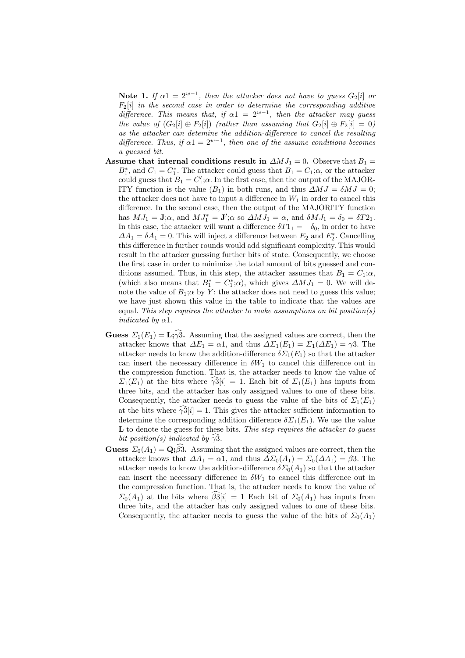Note 1. If  $\alpha$ 1 =  $2^{w-1}$ , then the attacker does not have to guess  $G_2[i]$  or  $F_2[i]$  in the second case in order to determine the corresponding additive difference. This means that, if  $\alpha 1 = 2^{w-1}$ , then the attacker may guess the value of  $(G_2[i] \oplus F_2[i])$  (rather than assuming that  $G_2[i] \oplus F_2[i] = 0$ ) as the attacker can detemine the addition-difference to cancel the resulting difference. Thus, if  $\alpha 1 = 2^{w-1}$ , then one of the assume conditions becomes a guessed bit.

- Assume that internal conditions result in  $\Delta MJ_1 = 0$ . Observe that  $B_1 =$  $B_1^*$ , and  $C_1 = C_1^*$ . The attacker could guess that  $B_1 = C_1; \alpha$ , or the attacker could guess that  $B_1 = C'_1; \alpha$ . In the first case, then the output of the MAJOR-ITY function is the value  $(B_1)$  in both runs, and thus  $\Delta MJ = \delta MJ = 0$ ; the attacker does not have to input a difference in  $W_1$  in order to cancel this difference. In the second case, then the output of the MAJORITY function has  $MJ_1 = \mathbf{J}$ ; $\alpha$ , and  $MJ_1^* = \mathbf{J}'$ ; $\alpha$  so  $\Delta MJ_1 = \alpha$ , and  $\delta MJ_1 = \delta_0 = \delta T2_1$ . In this case, the attacker will want a difference  $\delta T1_1 = -\delta_0$ , in order to have  $\Delta A_1 = \delta A_1 = 0$ . This will inject a difference between  $E_2$  and  $E_2^*$ . Cancelling this difference in further rounds would add significant complexity. This would result in the attacker guessing further bits of state. Consequently, we choose the first case in order to minimize the total amount of bits guessed and conditions assumed. Thus, in this step, the attacker assumes that  $B_1 = C_1; \alpha$ , (which also means that  $B_1^* = C_1^*;\alpha$ ), which gives  $\Delta MJ_1 = 0$ . We will denote the value of  $B_1$ ;  $\alpha$  by Y: the attacker does not need to guess this value; we have just shown this value in the table to indicate that the values are equal. This step requires the attacker to make assumptions on bit position(s) indicated by  $\alpha$ 1.
- **Guess**  $\Sigma_1(E_1) = \mathbf{L}$ ;  $\widehat{y}$ . Assuming that the assigned values are correct, then the attacker knows that  $\Delta E_1 = \alpha 1$ , and thus  $\Delta \Sigma_1(E_1) = \Sigma_1(\Delta E_1) = \gamma 3$ . The attacker needs to know the addition-difference  $\delta \Sigma_1(E_1)$  so that the attacker can insert the necessary difference in  $\delta W_1$  to cancel this difference out in the compression function. That is, the attacker needs to know the value of  $\Sigma_1(E_1)$  at the bits where  $\gamma_1^3[i] = 1$ . Each bit of  $\Sigma_1(E_1)$  has inputs from three bits, and the attacker has only assigned values to one of these bits. Consequently, the attacker needs to guess the value of the bits of  $\Sigma_1(E_1)$ at the bits where  $\widehat{\gamma^3}[i] = 1$ . This gives the attacker sufficient information to determine the corresponding addition difference  $\delta \Sigma_1(E_1)$ . We use the value L to denote the guess for these bits. This step requires the attacker to quess bit position(s) indicated by  $\gamma 3$ .
- **Guess**  $\Sigma_0(A_1) = \mathbf{Q}$ ;  $\beta \hat{3}$ . Assuming that the assigned values are correct, then the attacker knows that  $\Delta A_1 = \alpha 1$ , and thus  $\Delta \Sigma_0(A_1) = \Sigma_0(\Delta A_1) = \beta 3$ . The attacker needs to know the addition-difference  $\delta \Sigma_0(A_1)$  so that the attacker can insert the necessary difference in  $\delta W_1$  to cancel this difference out in the compression function. That is, the attacker needs to know the value of  $\Sigma_0(A_1)$  at the bits where  $\widehat{\beta_0}[i] = 1$  Each bit of  $\Sigma_0(A_1)$  has inputs from three bits, and the attacker has only assigned values to one of these bits. Consequently, the attacker needs to guess the value of the bits of  $\Sigma_0(A_1)$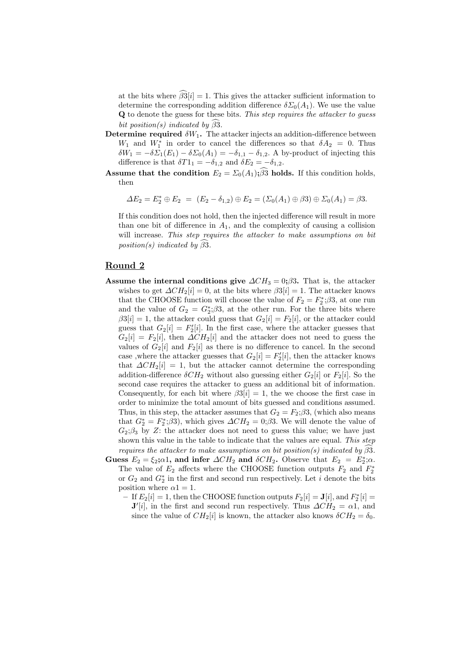at the bits where  $\hat{\beta}^3[i] = 1$ . This gives the attacker sufficient information to determine the corresponding addition difference  $\delta \Sigma_0(A_1)$ . We use the value Q to denote the guess for these bits. This step requires the attacker to guess bit position(s) indicated by  $\beta$ 3.

- Determine required  $\delta W_1$ . The attacker injects an addition-difference between  $W_1$  and  $W_1^*$  in order to cancel the differences so that  $\delta A_2 = 0$ . Thus  $\delta W_1 = -\delta \Sigma_1(E_1) - \delta \Sigma_0(A_1) = -\delta_{1,1} - \delta_{1,2}$ . A by-product of injecting this difference is that  $\delta T1_1 = -\delta_{1,2}$  and  $\delta E_2 = -\delta_{1,2}$ .
- Assume that the condition  $E_2 = \Sigma_0(A_1); \beta_3$  holds. If this condition holds, then

$$
\Delta E_2 = E_2^* \oplus E_2 = (E_2 - \delta_{1,2}) \oplus E_2 = (\Sigma_0(A_1) \oplus \beta 3) \oplus \Sigma_0(A_1) = \beta 3.
$$

If this condition does not hold, then the injected difference will result in more than one bit of difference in  $A_1$ , and the complexity of causing a collision will increase. This step requires the attacker to make assumptions on bit position(s) indicated by  $\widehat{\beta}$ 3.

## Round 2

- Assume the internal conditions give  $\Delta CH_3 = 0; \beta 3$ . That is, the attacker wishes to get  $\Delta CH_2[i] = 0$ , at the bits where  $\beta 3[i] = 1$ . The attacker knows that the CHOOSE function will choose the value of  $F_2 = F_2^*$ ; $\beta$ 3, at one run and the value of  $G_2 = G_2^*$ ; $\beta 3$ , at the other run. For the three bits where  $\beta 3[i] = 1$ , the attacker could guess that  $G_2[i] = F_2[i]$ , or the attacker could guess that  $G_2[i] = F'_2[i]$ . In the first case, where the attacker guesses that  $G_2[i] = F_2[i]$ , then  $\Delta CH_2[i]$  and the attacker does not need to guess the values of  $G_2[i]$  and  $F_2[i]$  as there is no difference to cancel. In the second case ,<br>where the attacker guesses that  $G_2[i] = F_2'[i]$  , then the attacker knows that  $\Delta CH_2[i] = 1$ , but the attacker cannot determine the corresponding addition-difference  $\delta CH_2$  without also guessing either  $G_2[i]$  or  $F_2[i]$ . So the second case requires the attacker to guess an additional bit of information. Consequently, for each bit where  $\beta 3[i] = 1$ , the we choose the first case in order to minimize the total amount of bits guessed and conditions assumed. Thus, in this step, the attacker assumes that  $G_2 = F_2$ ; $\beta 3$ , (which also means that  $G_2^* = F_2^*$ ; $\beta 3$ , which gives  $\Delta CH_2 = 0$ ; $\beta 3$ . We will denote the value of  $G_2$ ; $\beta_3$  by Z: the attacker does not need to guess this value; we have just shown this value in the table to indicate that the values are equal. This step requires the attacker to make assumptions on bit position(s) indicated by  $\beta 3$ .
- Guess  $E_2 = \xi_2$ ; $\alpha$ 1, and infer  $\Delta CH_2$  and  $\delta CH_2$ . Observe that  $E_2 = E_2^*$ ; $\alpha$ . The value of  $E_2$  affects where the CHOOSE function outputs  $F_2$  and  $F_2^*$ or  $G_2$  and  $G_2^*$  in the first and second run respectively. Let *i* denote the bits position where  $\alpha$ 1 = 1.
	- $-$  If  $E_2[i] = 1$ , then the CHOOSE function outputs  $F_2[i] = J[i]$ , and  $F_2^*[i] =$  $\mathbf{J}'[i]$ , in the first and second run respectively. Thus  $\Delta CH_2 = \alpha \mathbf{1}$ , and since the value of  $CH_2[i]$  is known, the attacker also knows  $\delta CH_2 = \delta_0$ .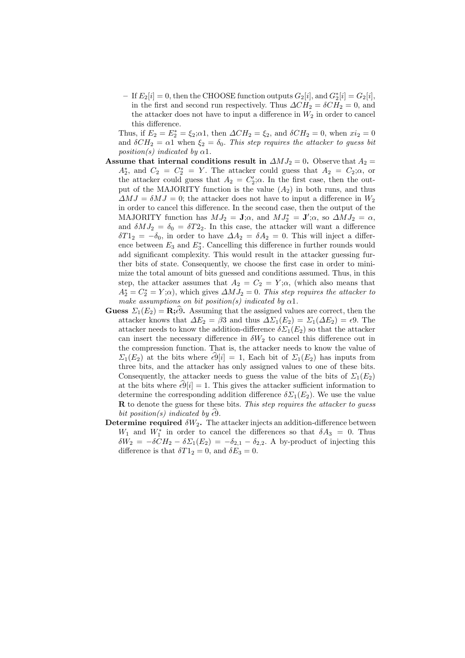$-$  If  $E_2[i] = 0$ , then the CHOOSE function outputs  $G_2[i]$ , and  $G_2^*[i] = G_2[i]$ , in the first and second run respectively. Thus  $\Delta CH_2 = \delta CH_2 = 0$ , and the attacker does not have to input a difference in  $W_2$  in order to cancel this difference.

Thus, if  $E_2 = E_2^* = \xi_2; \alpha 1$ , then  $\Delta CH_2 = \xi_2$ , and  $\delta CH_2 = 0$ , when  $xi_2 = 0$ and  $\delta CH_2 = \alpha 1$  when  $\xi_2 = \delta_0$ . This step requires the attacker to guess bit  $position(s)$  indicated by  $\alpha$ 1.

- Assume that internal conditions result in  $\Delta MJ_2 = 0$ . Observe that  $A_2 =$  $A_2^*$ , and  $C_2 = C_2^* = Y$ . The attacker could guess that  $A_2 = C_2; \alpha$ , or the attacker could guess that  $A_2 = C'_2$ ;  $\alpha$ . In the first case, then the output of the MAJORITY function is the value  $(A_2)$  in both runs, and thus  $\Delta MJ = \delta MJ = 0$ ; the attacker does not have to input a difference in  $W_2$ in order to cancel this difference. In the second case, then the output of the MAJORITY function has  $MJ_2 = \mathbf{J}; \alpha$ , and  $MJ_2^* = \mathbf{J}'; \alpha$ , so  $\Delta MJ_2 = \alpha$ , and  $\delta M J_2 = \delta_0 = \delta T 2_2$ . In this case, the attacker will want a difference  $\delta T1_2 = -\delta_0$ , in order to have  $\Delta A_2 = \delta A_2 = 0$ . This will inject a difference between  $E_3$  and  $E_3^*$ . Cancelling this difference in further rounds would add significant complexity. This would result in the attacker guessing further bits of state. Consequently, we choose the first case in order to minimize the total amount of bits guessed and conditions assumed. Thus, in this step, the attacker assumes that  $A_2 = C_2 = Y; \alpha$ , (which also means that  $A_2^* = C_2^* = Y; \alpha$ , which gives  $\Delta MJ_2 = 0$ . This step requires the attacker to make assumptions on bit position(s) indicated by  $\alpha$ 1.
- **Guess**  $\Sigma_1(E_2) = \mathbf{R}; \epsilon 9$ . Assuming that the assigned values are correct, then the attacker knows that  $\Delta E_2 = \beta 3$  and thus  $\Delta \Sigma_1(E_2) = \Sigma_1(\Delta E_2) = \epsilon 9$ . The attacker needs to know the addition-difference  $\delta \Sigma_1(E_2)$  so that the attacker can insert the necessary difference in  $\delta W_2$  to cancel this difference out in the compression function. That is, the attacker needs to know the value of  $\Sigma_1(E_2)$  at the bits where  $\epsilon \hat{9}[i] = 1$ , Each bit of  $\Sigma_1(E_2)$  has inputs from three bits, and the attacker has only assigned values to one of these bits. Consequently, the attacker needs to guess the value of the bits of  $\Sigma_1(E_2)$ at the bits where  $\epsilon \hat{\Theta}[i] = 1$ . This gives the attacker sufficient information to determine the corresponding addition difference  $\delta \Sigma_1(E_2)$ . We use the value  **to denote the guess for these bits. This step requires the attacker to guess** bit position(s) indicated by  $\epsilon \hat{\Theta}$ .
- Determine required  $\delta W_2$ . The attacker injects an addition-difference between  $W_1$  and  $W_1^*$  in order to cancel the differences so that  $\delta A_3 = 0$ . Thus  $\delta W_2 = -\delta C H_2 - \delta \Sigma_1(E_2) = -\delta_{2,1} - \delta_{2,2}$ . A by-product of injecting this difference is that  $\delta T1_2 = 0$ , and  $\delta E_3 = 0$ .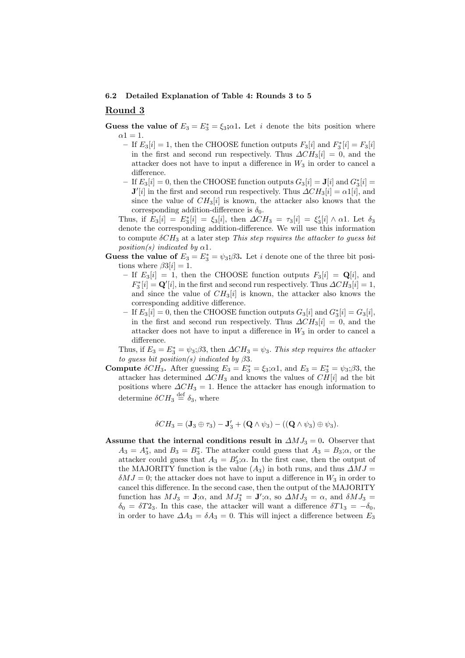#### 6.2 Detailed Explanation of Table 4: Rounds 3 to 5

## Round 3

- Guess the value of  $E_3 = E_3^* = \xi_3; \alpha 1$ . Let i denote the bits position where  $\alpha$ 1 = 1.
	- If  $E_3[i] = 1$ , then the CHOOSE function outputs  $F_3[i]$  and  $F_3^*[i] = F_3[i]$ in the first and second run respectively. Thus  $\Delta CH_3[i] = 0$ , and the attacker does not have to input a difference in  $W_3$  in order to cancel a difference.
	- $-$  If  $E_3[i] = 0$ , then the CHOOSE function outputs  $G_3[i] = \mathbf{J}[i]$  and  $G_3^*[i] =$  $\mathbf{J}'[i]$  in the first and second run respectively. Thus  $\Delta CH_3[i] = \alpha \mathbb{1}[i]$ , and since the value of  $CH_3[i]$  is known, the attacker also knows that the corresponding addition-difference is  $\delta_0$ .

Thus, if  $E_3[i] = E_3^*[i] = \xi_3[i]$ , then  $\Delta CH_3 = \tau_3[i] = \xi_3'[i] \wedge \alpha 1$ . Let  $\delta_3$ denote the corresponding addition-difference. We will use this information to compute  $\delta CH_3$  at a later step This step requires the attacker to guess bit position(s) indicated by  $\alpha$ 1.

- Guess the value of  $E_3 = E_3^* = \psi_3$ ;  $\beta 3$ . Let *i* denote one of the three bit positions where  $\beta 3[i] = 1$ .
	- If  $E_3[i] = 1$ , then the CHOOSE function outputs  $F_3[i] = \mathbf{Q}[i]$ , and  $F_3^*[i] = \mathbf{Q}'[i]$ , in the first and second run respectively. Thus  $\Delta CH_3[i] = 1$ , and since the value of  $CH_3[i]$  is known, the attacker also knows the corresponding additive difference.
	- $-$  If  $E_3[i] = 0$ , then the CHOOSE function outputs  $G_3[i]$  and  $G_3^*[i] = G_3[i]$ , in the first and second run respectively. Thus  $\Delta CH_3[i] = 0$ , and the attacker does not have to input a difference in  $W_3$  in order to cancel a difference.

Thus, if  $E_3 = E_3^* = \psi_3$ ; $\beta 3$ , then  $\Delta CH_3 = \psi_3$ . This step requires the attacker to guess bit position(s) indicated by  $\beta 3$ .

**Compute**  $\delta CH_3$ . After guessing  $E_3 = E_3^* = \xi_3$ ;  $\alpha$ 1, and  $E_3 = E_3^* = \psi_3$ ;  $\beta$ 3, the attacker has determined  $\Delta CH_3$  and knows the values of  $CH[i]$  ad the bit positions where  $\Delta CH_3 = 1$ . Hence the attacker has enough information to determine  $\delta CH_3 \stackrel{\text{def}}{=} \delta_3$ , where

$$
\delta CH_3 = (\mathbf{J}_3 \oplus \tau_3) - \mathbf{J}'_3 + (\mathbf{Q} \wedge \psi_3) - ((\mathbf{Q} \wedge \psi_3) \oplus \psi_3).
$$

Assume that the internal conditions result in  $\Delta MJ_3 = 0$ . Observer that  $A_3 = A_3^*$ , and  $B_3 = B_3^*$ . The attacker could guess that  $A_3 = B_3; \alpha$ , or the attacker could guess that  $A_3 = B'_3$ ;  $\alpha$ . In the first case, then the output of the MAJORITY function is the value  $(A_3)$  in both runs, and thus  $\Delta MJ =$  $\delta MJ = 0$ ; the attacker does not have to input a difference in  $W_3$  in order to cancel this difference. In the second case, then the output of the MAJORITY function has  $MJ_3 = J;\alpha$ , and  $MJ_3^* = J';\alpha$ , so  $\Delta MJ_3 = \alpha$ , and  $\delta MJ_3 =$  $\delta_0 = \delta T 2_3$ . In this case, the attacker will want a difference  $\delta T 1_3 = -\delta_0$ , in order to have  $\Delta A_3 = \delta A_3 = 0$ . This will inject a difference between  $E_3$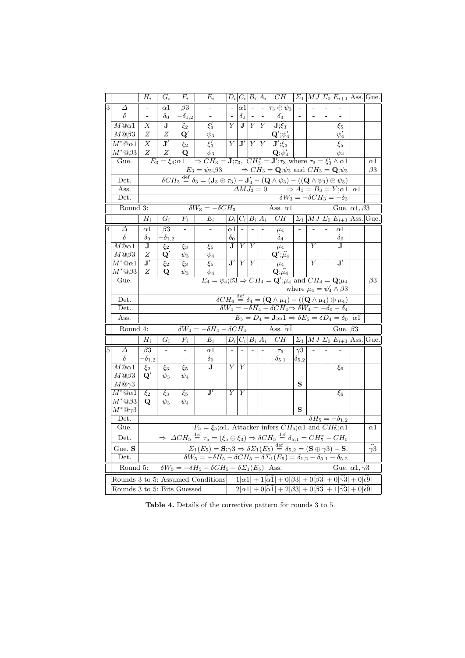|                |                                             | $\overline{H}_{i}$                                                                                                                                                                                                                               | $G_i$                    | $F_i$                    | $E_i$                                                                                                                                                                    |                       | $D_i C_i B_i A_i $                                                                                   |                          |                          | CH                                                                                                                                                                                    | $\Sigma_1$     |                              |  | $ MJ \Sigma_0 E_{i+1} \text{Ass.} \text{Gue.}$          |            |                     |  |
|----------------|---------------------------------------------|--------------------------------------------------------------------------------------------------------------------------------------------------------------------------------------------------------------------------------------------------|--------------------------|--------------------------|--------------------------------------------------------------------------------------------------------------------------------------------------------------------------|-----------------------|------------------------------------------------------------------------------------------------------|--------------------------|--------------------------|---------------------------------------------------------------------------------------------------------------------------------------------------------------------------------------|----------------|------------------------------|--|---------------------------------------------------------|------------|---------------------|--|
| $\overline{3}$ | Δ                                           |                                                                                                                                                                                                                                                  | $_{\alpha1}$             | $\beta 3$                |                                                                                                                                                                          |                       | $\alpha 1$                                                                                           | $\overline{\phantom{a}}$ | $\overline{\phantom{a}}$ | $\tau_3\oplus\psi_3$                                                                                                                                                                  |                |                              |  |                                                         |            |                     |  |
|                | δ                                           |                                                                                                                                                                                                                                                  | $\delta_0$               | $-\delta_{1,2}$          |                                                                                                                                                                          |                       | $\delta_0$                                                                                           |                          |                          | $\delta_3$                                                                                                                                                                            |                |                              |  |                                                         |            |                     |  |
|                | $M@ \alpha 1$                               | Х                                                                                                                                                                                                                                                | J                        | $\xi_2$                  | $\xi_3'$                                                                                                                                                                 | Y                     | $\mathbf{J}$                                                                                         | $\boldsymbol{Y}$         | Υ                        | $J;\xi_3$                                                                                                                                                                             |                |                              |  | $\xi_5$                                                 |            |                     |  |
|                | M@63                                        | Ζ                                                                                                                                                                                                                                                | Ζ                        | ${\bf Q}'$               | $\psi_3$                                                                                                                                                                 |                       |                                                                                                      |                          |                          | $\mathbf{Q}^{\prime};\psi_{4}^{\prime}% =\mathbf{Q}^{\prime}\mathbf{,}^{\prime\prime}\mathbf{Q}^{\prime}=\mathbf{Q}^{\prime\prime}\mathbf{,}^{\prime\prime}\mathbf{Q}^{\prime\prime}$ |                |                              |  | $\psi'_4$                                               |            |                     |  |
|                | $M^*@ \alpha 1$                             | $\boldsymbol{X}$                                                                                                                                                                                                                                 | $\overline{\mathbf{J}'}$ | $\xi_2$                  | $\xi_3'$                                                                                                                                                                 | Y                     | J'                                                                                                   | Y Y                      |                          | $\mathbf{J}';\widehat{\xi_3}$                                                                                                                                                         |                |                              |  | $\xi_5$                                                 |            |                     |  |
|                | $M^*@ \beta 3$                              | Ζ                                                                                                                                                                                                                                                | Ζ                        | Q                        | $\psi_3$                                                                                                                                                                 |                       |                                                                                                      |                          |                          | ${\bf Q};\psi'_4$                                                                                                                                                                     |                |                              |  | $\psi_4$                                                |            |                     |  |
|                | Gue.                                        |                                                                                                                                                                                                                                                  | $E_3 = \xi_3; \alpha1$   |                          | $\Rightarrow CH_3 = J; \tau_3$ , $CH_3^* = J'; \tau_3$ where $\tau_3 = \xi_3' \wedge \alpha 1$                                                                           |                       |                                                                                                      |                          | $\alpha$ 1               |                                                                                                                                                                                       |                |                              |  |                                                         |            |                     |  |
|                |                                             |                                                                                                                                                                                                                                                  |                          |                          | $E_3 = \psi_3$ ; $\beta 3 \implies CH_3 = \mathbf{Q}$ ; $\psi_3$ and $CH_3 = \mathbf{Q}$ ; $\psi_3$                                                                      |                       |                                                                                                      | $\overline{\beta 3}$     |                          |                                                                                                                                                                                       |                |                              |  |                                                         |            |                     |  |
|                | Det.                                        |                                                                                                                                                                                                                                                  |                          |                          | $\delta CH_3 \stackrel{\text{def}}{=} \delta_3 = (\mathbf{J}_3 \oplus \tau_3) - \mathbf{J}'_3 + (\mathbf{Q} \wedge \psi_3) - ((\mathbf{Q} \wedge \psi_3) \oplus \psi_3)$ |                       |                                                                                                      |                          |                          |                                                                                                                                                                                       |                |                              |  |                                                         |            |                     |  |
|                | Ass.<br>Det.                                |                                                                                                                                                                                                                                                  |                          |                          |                                                                                                                                                                          |                       |                                                                                                      |                          |                          | $\Delta MJ_3 = 0 \Rightarrow A_3 = B_3 = Y; \alpha 1$                                                                                                                                 |                |                              |  | $\delta W_3 = -\delta C H_3 = -\delta_3$                | $\alpha$ 1 |                     |  |
|                |                                             |                                                                                                                                                                                                                                                  |                          |                          |                                                                                                                                                                          |                       |                                                                                                      |                          |                          |                                                                                                                                                                                       |                |                              |  |                                                         |            |                     |  |
|                | Round 3:                                    |                                                                                                                                                                                                                                                  |                          |                          | $\overline{\delta W_3} = - \overline{\delta C H_3}$                                                                                                                      |                       |                                                                                                      |                          |                          | Ass. $\alpha$ 1                                                                                                                                                                       |                |                              |  | Gue. $\alpha$ 1, $\beta$ 3                              |            |                     |  |
|                |                                             | $H_i$                                                                                                                                                                                                                                            | $G_i$                    | $F_i$                    | $E_i$                                                                                                                                                                    |                       | $D_i C_i B_i A_i $                                                                                   |                          |                          | $\overline{CH}$                                                                                                                                                                       |                |                              |  | $\Sigma_1  MJ \Sigma_0 E_{i+1} \text{Ass.} \text{Gue.}$ |            |                     |  |
| $\overline{4}$ | Δ                                           | $\alpha$ 1                                                                                                                                                                                                                                       | $\beta3$                 | $\overline{\phantom{m}}$ |                                                                                                                                                                          | $\alpha$ 1            | $\sim$                                                                                               |                          |                          | $\mu_4$                                                                                                                                                                               |                |                              |  | $\alpha$ 1                                              |            |                     |  |
|                | $\delta$<br>$M@ \alpha 1$                   | $\delta_0$<br>J                                                                                                                                                                                                                                  | $-\delta_{1,2}$          | $\overline{\phantom{0}}$ | $\overline{a}$<br>$\xi_5$                                                                                                                                                | $\delta_0$<br>$\bf J$ | $\overline{Y}$                                                                                       | $\overline{Y}$           |                          | $\delta_4$                                                                                                                                                                            |                | $\overline{Y}$               |  | $\delta_0$<br>J                                         |            |                     |  |
|                | M@63                                        | Ζ                                                                                                                                                                                                                                                | $\xi_2$<br>$\mathbf{Q}'$ | $\xi_3$<br>$\psi_3$      | $\psi_4$                                                                                                                                                                 |                       |                                                                                                      |                          |                          | $\mu_4$<br>$\mathbf{Q}^{\prime};\widehat{\mu_4}$                                                                                                                                      |                |                              |  |                                                         |            |                     |  |
|                | $M^*@ \alpha 1$                             | $\overline{\mathbf{J}'}$                                                                                                                                                                                                                         | $\xi_2$                  | $\xi_3$                  | $\xi_5$                                                                                                                                                                  | $\mathbf{J}'$         | Υ                                                                                                    | Y                        |                          | $\mu_4$                                                                                                                                                                               |                | $\overline{Y}$               |  | $\overline{\mathbf{J}'}$                                |            |                     |  |
|                | $M^*@{\beta 3}$                             | Ζ                                                                                                                                                                                                                                                | Q                        | $\psi_3$                 | $\psi_4$                                                                                                                                                                 |                       |                                                                                                      |                          |                          | $\mathbf{Q};\!\widehat{\mu_4}$                                                                                                                                                        |                |                              |  |                                                         |            |                     |  |
|                | Gue.                                        | $E_4 = \psi_4$ ; $\beta 3 \Rightarrow CH_4 = \mathbf{Q}'$ ; $\mu_4$ and $CH_4 = \mathbf{Q}$ ; $\mu_4$                                                                                                                                            |                          |                          |                                                                                                                                                                          |                       |                                                                                                      |                          |                          |                                                                                                                                                                                       |                |                              |  | $\beta$ 3                                               |            |                     |  |
|                |                                             | where $\mu_4 = \psi'_4 \wedge \beta3$<br>$\overline{\delta CH_4} \stackrel{\text{def}}{=} \delta_4 = \underline{(\mathbf{Q} \wedge \mu_4)} - ((\mathbf{Q} \wedge \mu_4) \oplus \mu_4)$                                                           |                          |                          |                                                                                                                                                                          |                       |                                                                                                      |                          |                          |                                                                                                                                                                                       |                |                              |  |                                                         |            |                     |  |
|                | Det.                                        |                                                                                                                                                                                                                                                  |                          |                          |                                                                                                                                                                          |                       |                                                                                                      |                          |                          |                                                                                                                                                                                       |                |                              |  |                                                         |            |                     |  |
|                | Det.                                        |                                                                                                                                                                                                                                                  |                          |                          |                                                                                                                                                                          |                       |                                                                                                      |                          |                          | $\delta W_4 = -\delta H_4 - \delta CH_4 \Rightarrow \delta W_4 = -\delta_0 - \delta_4$                                                                                                |                |                              |  |                                                         |            |                     |  |
|                | Ass.                                        |                                                                                                                                                                                                                                                  |                          |                          |                                                                                                                                                                          |                       |                                                                                                      |                          |                          | $E_5 = D_4 = \mathbf{J}; \alpha_1 \Rightarrow \delta E_5 = \delta D_4 = \delta_0$                                                                                                     |                |                              |  |                                                         | $\alpha$ 1 |                     |  |
|                | Round 4:                                    |                                                                                                                                                                                                                                                  |                          |                          | $\delta W_4 = -\delta H_4 - \delta C H_4$                                                                                                                                |                       |                                                                                                      |                          |                          | Ass. $\alpha 1$                                                                                                                                                                       |                |                              |  | Gue. $\beta$ 3                                          |            |                     |  |
|                |                                             | $\overline{H_i}$                                                                                                                                                                                                                                 | $\overline{G_i}$         | $\overline{F_i}$         | $\overline{E_i}$                                                                                                                                                         |                       | $D_i C_i B_i A_i $                                                                                   |                          |                          | $\overline{CH}$                                                                                                                                                                       |                |                              |  | $\Sigma_1  MJ \Sigma_0 E_{i+1} $ Ass. Gue.              |            |                     |  |
| $\overline{5}$ | Δ                                           | $\beta$ 3                                                                                                                                                                                                                                        |                          |                          | $_{\alpha1}$                                                                                                                                                             | $\frac{1}{2}$         |                                                                                                      |                          |                          | $\tau_5$                                                                                                                                                                              | $\gamma 3$     |                              |  |                                                         |            |                     |  |
|                | $\delta$                                    | - $\delta_{1,2}$                                                                                                                                                                                                                                 | $\overline{\phantom{0}}$ |                          | $\delta_0$                                                                                                                                                               | $\blacksquare$        |                                                                                                      |                          |                          | $\delta_{5,1}$                                                                                                                                                                        | $\delta_{5,2}$ | $\qquad \qquad \blacksquare$ |  |                                                         |            |                     |  |
|                | $\overline{M@{\alpha}1}$                    | $\xi_2$                                                                                                                                                                                                                                          | $\xi_3$                  | $\xi_5$                  | $\mathbf J$                                                                                                                                                              | $\overline{Y}$        | $\overline{Y}$                                                                                       |                          |                          |                                                                                                                                                                                       |                |                              |  | $\xi_6$                                                 |            |                     |  |
|                | M@63                                        | $\mathbf{Q}'$                                                                                                                                                                                                                                    | $\psi_3$                 | $\psi_4$                 |                                                                                                                                                                          |                       |                                                                                                      |                          |                          |                                                                                                                                                                                       | S              |                              |  |                                                         |            |                     |  |
|                | $M@{\gamma 3}$<br>$\overline{M^*}@\alpha 1$ | $\xi_2$                                                                                                                                                                                                                                          | $\xi_3$                  | $\xi_5$                  | $\mathbf{J}^{\prime}$                                                                                                                                                    | Υ                     | Y                                                                                                    |                          |                          |                                                                                                                                                                                       |                |                              |  | $\xi_6$                                                 |            |                     |  |
|                | $M^*@{\beta 3}$                             | Q                                                                                                                                                                                                                                                | $\psi_3$                 | $\psi_4$                 |                                                                                                                                                                          |                       |                                                                                                      |                          |                          |                                                                                                                                                                                       |                |                              |  |                                                         |            |                     |  |
|                | $M^*@{\gamma 3}$                            |                                                                                                                                                                                                                                                  |                          |                          |                                                                                                                                                                          |                       |                                                                                                      |                          |                          |                                                                                                                                                                                       | S              |                              |  |                                                         |            |                     |  |
|                | Det.                                        |                                                                                                                                                                                                                                                  |                          |                          |                                                                                                                                                                          |                       |                                                                                                      |                          |                          |                                                                                                                                                                                       |                |                              |  | $\delta H_5=-\delta_{1,2}$                              |            |                     |  |
|                | Gue.                                        |                                                                                                                                                                                                                                                  |                          |                          |                                                                                                                                                                          |                       | $F_5 = \xi_5; \alpha 1$ . Attacker infers $CH_5; \alpha 1$ and $CH_5^*; \alpha 1$                    |                          |                          |                                                                                                                                                                                       |                |                              |  |                                                         |            | $\alpha$ 1          |  |
|                | Det.                                        |                                                                                                                                                                                                                                                  |                          |                          | $\Rightarrow \ \Delta CH_5 \stackrel{\text{def}}{=} \tau_5 = (\xi_5 \oplus \xi_3) \Rightarrow \delta CH_5 \stackrel{\text{def}}{=} \delta_{5,1} = CH_5^* - CH_5$         |                       |                                                                                                      |                          |                          |                                                                                                                                                                                       |                |                              |  |                                                         |            |                     |  |
|                | $Gue.$ ${\bf S}$                            |                                                                                                                                                                                                                                                  |                          |                          |                                                                                                                                                                          |                       |                                                                                                      |                          |                          |                                                                                                                                                                                       |                |                              |  |                                                         |            | $\widehat{\gamma}3$ |  |
|                |                                             | $\Sigma_1(E_5) = S_7 \gamma 3 \Rightarrow \delta \Sigma_1(E_5) \stackrel{\text{def}}{=} \delta_{5,2} = (S \oplus \gamma 3) - S.$<br>$\delta W_5 = -\delta H_5 - \delta CH_5 - \delta \Sigma_1(E_5) = \delta_{1,2} - \delta_{5,1} - \delta_{5,2}$ |                          |                          |                                                                                                                                                                          |                       |                                                                                                      |                          |                          |                                                                                                                                                                                       |                |                              |  |                                                         |            |                     |  |
|                | Det.                                        |                                                                                                                                                                                                                                                  |                          |                          |                                                                                                                                                                          |                       | $\delta W_5 = -\delta H_5 - \delta CH_5 - \delta \Sigma_1(E_5)$  Ass.<br>Gue. $\alpha$ 1, $\gamma$ 3 |                          |                          |                                                                                                                                                                                       |                |                              |  |                                                         |            |                     |  |
|                | Round 5:                                    |                                                                                                                                                                                                                                                  |                          |                          |                                                                                                                                                                          |                       |                                                                                                      |                          |                          |                                                                                                                                                                                       |                |                              |  |                                                         |            |                     |  |
|                |                                             |                                                                                                                                                                                                                                                  |                          |                          |                                                                                                                                                                          |                       |                                                                                                      |                          |                          |                                                                                                                                                                                       |                |                              |  |                                                         |            |                     |  |
|                | Rounds 3 to 5: Bits Guessed                 |                                                                                                                                                                                                                                                  |                          |                          | Rounds 3 to 5: Assumed Conditions $ 1 \alpha 1  + 1 \widehat{\alpha 1}  + 0 \beta 3  + 0 \widehat{\beta 3}  + 0 \widehat{\gamma 3}  + 0 \widehat{\epsilon 9} $           |                       |                                                                                                      |                          |                          | $2 \alpha 1  + 0 \alpha 1  + 2 \beta 3  + 0 \beta 3  + 1 \gamma 3  + 0 \epsilon 9 $                                                                                                   |                |                              |  |                                                         |            |                     |  |

Table 4. Details of the corrective pattern for rounds 3 to 5.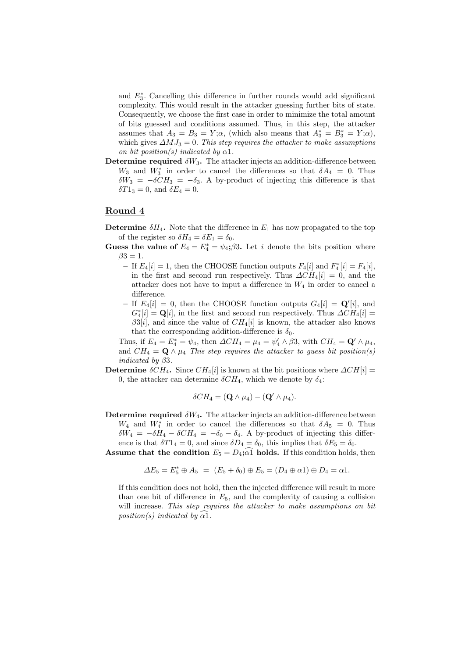and E<sup>∗</sup> 3 . Cancelling this difference in further rounds would add significant complexity. This would result in the attacker guessing further bits of state. Consequently, we choose the first case in order to minimize the total amount of bits guessed and conditions assumed. Thus, in this step, the attacker assumes that  $A_3 = B_3 = Y; \alpha$ , (which also means that  $A_3^* = B_3^* = Y; \alpha$ ), which gives  $\Delta MJ_3 = 0$ . This step requires the attacker to make assumptions on bit position(s) indicated by  $\alpha$ 1.

Determine required  $\delta W_3$ . The attacker injects an addition-difference between  $W_3$  and  $W_3^*$  in order to cancel the differences so that  $\delta A_4 = 0$ . Thus  $\delta W_3 = -\delta C H_3 = -\delta_3$ . A by-product of injecting this difference is that  $\delta T1_3 = 0$ , and  $\delta E_4 = 0$ .

## Round 4

**Determine**  $\delta H_4$ . Note that the difference in  $E_1$  has now propagated to the top of the register so  $\delta H_4 = \delta E_1 = \delta_0$ .

Guess the value of  $E_4 = E_4^* = \psi_4$ ;  $\beta$ 3. Let *i* denote the bits position where  $\beta 3 = 1$ .

- If  $E_4[i] = 1$ , then the CHOOSE function outputs  $F_4[i]$  and  $F_4^*[i] = F_4[i]$ , in the first and second run respectively. Thus  $\Delta CH_4[i] = 0$ , and the attacker does not have to input a difference in  $W_4$  in order to cancel a difference.
- If  $E_4[i] = 0$ , then the CHOOSE function outputs  $G_4[i] = \mathbf{Q}'[i]$ , and  $G_4^*[i] = \mathbf{Q}[i]$ , in the first and second run respectively. Thus  $\Delta CH_4[i] =$  $\beta 3[i]$ , and since the value of  $CH_4[i]$  is known, the attacker also knows that the corresponding addition-difference is  $\delta_0$ .

Thus, if  $E_4 = E_4^* = \psi_4$ , then  $\Delta CH_4 = \mu_4 = \psi_4' \wedge \beta 3$ , with  $CH_4 = \mathbf{Q}' \wedge \mu_4$ , and  $CH_4 = \mathbf{Q} \wedge \mu_4$  This step requires the attacker to guess bit position(s) indicated by  $\beta 3$ .

Determine  $\delta CH_4$ . Since  $CH_4[i]$  is known at the bit positions where  $\Delta CH[i] =$ 0, the attacker can determine  $\delta CH_4$ , which we denote by  $\delta_4$ :

$$
\delta CH_4 = (\mathbf{Q} \wedge \mu_4) - (\mathbf{Q}' \wedge \mu_4).
$$

**Determine required**  $\delta W_4$ . The attacker injects an addition-difference between  $W_4$  and  $W_4^*$  in order to cancel the differences so that  $\delta A_5 = 0$ . Thus  $\delta W_4 = -\delta \bar{H}_4 - \delta C H_4 = -\delta_0 - \delta_4$ . A by-product of injecting this difference is that  $\delta T1_4 = 0$ , and since  $\delta D_4 = \delta_0$ , this implies that  $\delta E_5 = \delta_0$ .

**Assume that the condition**  $E_5 = D_4$ ;  $\widehat{\alpha}$ **l** holds. If this condition holds, then

$$
\Delta E_5 = E_5^* \oplus A_5 = (E_5 + \delta_0) \oplus E_5 = (D_4 \oplus \alpha_1) \oplus D_4 = \alpha_1.
$$

If this condition does not hold, then the injected difference will result in more than one bit of difference in  $E_5$ , and the complexity of causing a collision will increase. This step requires the attacker to make assumptions on bit position(s) indicated by  $\alpha$ 1.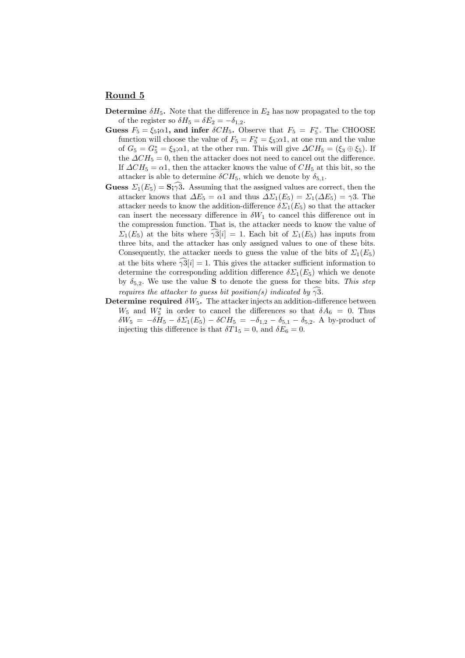## Round 5

- **Determine**  $\delta H_5$ . Note that the difference in  $E_2$  has now propagated to the top of the register so  $\delta H_5 = \delta E_2 = -\delta_{1,2}$ .
- Guess  $F_5 = \xi_5$ ; $\alpha$ 1, and infer  $\delta CH_5$ . Observe that  $F_5 = F_5^*$ . The CHOOSE function will choose the value of  $F_5 = F_5^* = \xi_5$ ;  $\alpha$ 1, at one run and the value of  $G_5 = G_5^* = \xi_3; \alpha 1$ , at the other run. This will give  $\Delta CH_5 = (\xi_3 \oplus \xi_5)$ . If the  $\Delta CH_5 = 0$ , then the attacker does not need to cancel out the difference. If  $\Delta CH_5 = \alpha 1$ , then the attacker knows the value of  $CH_5$  at this bit, so the attacker is able to determine  $\delta CH_5$ , which we denote by  $\delta_{5,1}$ .
- **Guess**  $\Sigma_1(E_5) = \mathbf{S}_3 \widehat{\gamma} \widehat{3}$ . Assuming that the assigned values are correct, then the attacker knows that  $\Delta E_5 = \alpha 1$  and thus  $\Delta \Sigma_1(E_5) = \Sigma_1(\Delta E_5) = \gamma 3$ . The attacker needs to know the addition-difference  $\delta \Sigma_1(E_5)$  so that the attacker can insert the necessary difference in  $\delta W_1$  to cancel this difference out in the compression function. That is, the attacker needs to know the value of  $\Sigma_1(E_5)$  at the bits where  $\gamma_3[i] = 1$ . Each bit of  $\Sigma_1(E_5)$  has inputs from three bits, and the attacker has only assigned values to one of these bits. Consequently, the attacker needs to guess the value of the bits of  $\Sigma_1(E_5)$ at the bits where  $\gamma 3[i] = 1$ . This gives the attacker sufficient information to determine the corresponding addition difference  $\delta \Sigma_1(E_5)$  which we denote by  $\delta_{5,2}$ . We use the value **S** to denote the guess for these bits. This step requires the attacker to guess bit position(s) indicated by  $\gamma\hat{3}$ .
- Determine required  $\delta W_5$ . The attacker injects an addition-difference between  $W_5$  and  $W_5^*$  in order to cancel the differences so that  $\delta A_6 = 0$ . Thus  $\delta W_5 = -\delta H_5 - \delta \Sigma_1(E_5) - \delta CH_5 = -\delta_{1,2} - \delta_{5,1} - \delta_{5,2}$ . A by-product of injecting this difference is that  $\delta T1_5 = 0$ , and  $\delta E_6 = 0$ .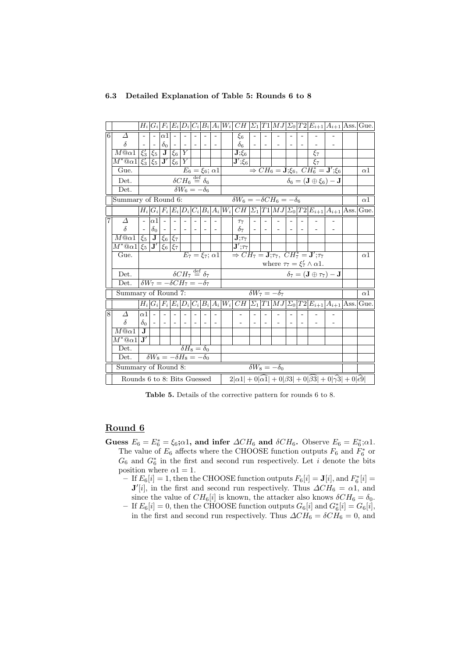|   |                                                                                                                                        |                       |                |                                                             |        |                                                 |                            |  |                                                      |                                                                                 |  |  |  |  |  |                                                     | $H_i G_i F_i E_i D_i C_i B_i A_i W_i CH \Sigma_1 T1 MJ \Sigma_0 T2 E_{i+1} A_{i+1} \mathrm{Ass.} Gue. $                               |            |
|---|----------------------------------------------------------------------------------------------------------------------------------------|-----------------------|----------------|-------------------------------------------------------------|--------|-------------------------------------------------|----------------------------|--|------------------------------------------------------|---------------------------------------------------------------------------------|--|--|--|--|--|-----------------------------------------------------|---------------------------------------------------------------------------------------------------------------------------------------|------------|
| 6 | Δ                                                                                                                                      |                       |                | $\alpha$ 1                                                  |        |                                                 |                            |  |                                                      | $\xi_6$                                                                         |  |  |  |  |  |                                                     |                                                                                                                                       |            |
|   | $\delta$                                                                                                                               |                       |                | $\delta_0$                                                  |        |                                                 |                            |  |                                                      | $\delta$ 6                                                                      |  |  |  |  |  |                                                     |                                                                                                                                       |            |
|   | $\overline{M@{\alpha}1}$                                                                                                               |                       |                | $\overline{\xi'_3}$ $\overline{\xi_5}$ J $\overline{\xi_6}$ |        | $\overline{Y}$                                  |                            |  |                                                      | $\overline{{\bf J};\!xi_6}$                                                     |  |  |  |  |  |                                                     | $\begin{array}{ c c c }\n\hline\n&\xi_7 \\ \hline\n\end{array}\n\Rightarrow CH_6 = \mathbf{J}; \xi_6, \; CH_6^* = \mathbf{J}'; \xi_6$ |            |
|   | $M^*@ \alpha 1$                                                                                                                        |                       |                | $ \xi_3' \xi_5 $ <b>J'</b> $ \xi_6 $                        |        | Y                                               |                            |  |                                                      | $ \mathbf{J}';\xi_6 $                                                           |  |  |  |  |  |                                                     |                                                                                                                                       |            |
|   | Gue.                                                                                                                                   |                       |                |                                                             |        |                                                 | $E_6 = \xi_6$ ; $\alpha$ 1 |  |                                                      |                                                                                 |  |  |  |  |  |                                                     |                                                                                                                                       | $\alpha$ 1 |
|   | Det.                                                                                                                                   |                       |                |                                                             |        | $\delta CH_6 \stackrel{\text{def}}{=} \delta_6$ |                            |  |                                                      |                                                                                 |  |  |  |  |  | $\delta_6 = (\mathbf{J} \oplus \xi_6) - \mathbf{J}$ |                                                                                                                                       |            |
|   | Det.                                                                                                                                   |                       |                |                                                             |        | $\delta W_6 = -\delta_6$                        |                            |  |                                                      |                                                                                 |  |  |  |  |  |                                                     |                                                                                                                                       |            |
|   | Summary of Round 6:                                                                                                                    |                       |                |                                                             |        |                                                 |                            |  |                                                      | $\delta W_6 = -\delta CH_6 = -\delta_6$                                         |  |  |  |  |  |                                                     |                                                                                                                                       | $\alpha$ 1 |
|   |                                                                                                                                        |                       |                |                                                             |        |                                                 |                            |  |                                                      |                                                                                 |  |  |  |  |  |                                                     | $H_i G_i F_i E_i D_i C_i B_i A_i W_i CH \Sigma_1 T1 MJ \Sigma_0 T2 E_{i+1} A_{i+1} \text{Ass.} \text{Gue.}$                           |            |
| 7 | Δ                                                                                                                                      | $\blacksquare$        | $ \alpha_1 $ - |                                                             |        |                                                 |                            |  |                                                      | $\tau_7$                                                                        |  |  |  |  |  |                                                     |                                                                                                                                       |            |
|   | $\delta$                                                                                                                               | $\sim$                | $\delta_0$     | $\sim$                                                      | $\sim$ |                                                 |                            |  |                                                      | $\delta_7$                                                                      |  |  |  |  |  |                                                     |                                                                                                                                       |            |
|   | $\overline{M@{\alpha}1}$                                                                                                               |                       |                | $\xi_5$ J $\xi_6$ $\xi_7$                                   |        |                                                 |                            |  |                                                      | $\overline{\mathbf{J};\tau_7}$                                                  |  |  |  |  |  |                                                     |                                                                                                                                       |            |
|   | $\left\lceil M^*\textcircled{a} \alpha 1 \right\rceil \xi_5 \left\lceil \mathbf{J'} \right\rceil \xi_6 \left\lceil \xi_7 \right\rceil$ |                       |                |                                                             |        |                                                 |                            |  |                                                      | $ \mathbf{J}^\prime;\tau_7 $                                                    |  |  |  |  |  |                                                     |                                                                                                                                       |            |
|   | Gue.                                                                                                                                   |                       |                |                                                             |        |                                                 |                            |  |                                                      | $E_7 = \xi_7$ ; $\alpha 1 \Rightarrow CH_7 = J; \tau_7$ , $CH_7^* = J'; \tau_7$ |  |  |  |  |  |                                                     |                                                                                                                                       | $\alpha$ 1 |
|   |                                                                                                                                        |                       |                |                                                             |        |                                                 |                            |  | where $\tau_7 = \xi'_7 \wedge \alpha 1$ .            |                                                                                 |  |  |  |  |  |                                                     |                                                                                                                                       |            |
|   | Det.                                                                                                                                   |                       |                |                                                             |        | $\delta CH_7 \stackrel{\text{def}}{=} \delta_7$ |                            |  | $\delta_7 = (\mathbf{J} \oplus \tau_7) - \mathbf{J}$ |                                                                                 |  |  |  |  |  |                                                     |                                                                                                                                       |            |
|   | Det.                                                                                                                                   |                       |                | $\delta W_7 = -\delta CH_7 = -\delta_7$                     |        |                                                 |                            |  |                                                      |                                                                                 |  |  |  |  |  |                                                     |                                                                                                                                       |            |
|   | Summary of Round 7:                                                                                                                    |                       |                |                                                             |        |                                                 |                            |  | $\delta W_7 = -\delta_7$                             |                                                                                 |  |  |  |  |  |                                                     |                                                                                                                                       | $\alpha$ 1 |
|   |                                                                                                                                        |                       |                |                                                             |        |                                                 |                            |  |                                                      |                                                                                 |  |  |  |  |  |                                                     | $H_i G_i F_i E_i D_i C_i B_i A_i W_i CH \Sigma_1 T1 MJ \Sigma_0 T2 E_{i+1} A_{i+1} \text{Ass.} \text{Gue.}$                           |            |
| 8 | Δ                                                                                                                                      | $\alpha$ 1            |                |                                                             |        |                                                 |                            |  |                                                      |                                                                                 |  |  |  |  |  |                                                     |                                                                                                                                       |            |
|   | $\delta$                                                                                                                               | $\delta$ <sup>o</sup> |                |                                                             |        |                                                 |                            |  |                                                      |                                                                                 |  |  |  |  |  |                                                     |                                                                                                                                       |            |
|   | $M@ \alpha 1$                                                                                                                          | $\mathbf{J}$          |                |                                                             |        |                                                 |                            |  |                                                      |                                                                                 |  |  |  |  |  |                                                     |                                                                                                                                       |            |
|   | $M^*\textcircled{a}a1$                                                                                                                 | $\mathbf{J}'$         |                |                                                             |        |                                                 |                            |  |                                                      |                                                                                 |  |  |  |  |  |                                                     |                                                                                                                                       |            |
|   | Det.                                                                                                                                   |                       |                |                                                             |        | $\delta H_8 = \delta_0$                         |                            |  |                                                      |                                                                                 |  |  |  |  |  |                                                     |                                                                                                                                       |            |
|   | Det.                                                                                                                                   |                       |                | $\delta W_8 = -\delta H_8 = -\delta_0$                      |        |                                                 |                            |  |                                                      |                                                                                 |  |  |  |  |  |                                                     |                                                                                                                                       |            |
|   | Summary of Round 8:                                                                                                                    |                       |                |                                                             |        |                                                 |                            |  |                                                      | $\delta W_8 = -\delta_0$                                                        |  |  |  |  |  |                                                     |                                                                                                                                       |            |
|   | Rounds 6 to 8: Bits Guessed                                                                                                            |                       |                |                                                             |        |                                                 |                            |  |                                                      |                                                                                 |  |  |  |  |  |                                                     | $2 \alpha 1  + 0 \alpha 1  + 0 \beta 3  + 0 \beta 3  + 0 \gamma 3  + 0 \epsilon 9 $                                                   |            |

### 6.3 Detailed Explanation of Table 5: Rounds 6 to 8

Table 5. Details of the corrective pattern for rounds 6 to 8.

# Round 6

- Guess  $E_6 = E_6^* = \xi_6; \alpha_1$ , and infer  $\Delta CH_6$  and  $\delta CH_6$ . Observe  $E_6 = E_6^*; \alpha_1$ . The value of  $E_6$  affects where the CHOOSE function outputs  $F_6$  and  $F_6^*$  or  $G_6$  and  $G_6^*$  in the first and second run respectively. Let i denote the bits position where  $\alpha$ 1 = 1.
	- $-$  If  $E_6[i] = 1$ , then the CHOOSE function outputs  $F_6[i] = \mathbf{J}[i]$ , and  $F_6^*[i] =$  $\mathbf{J}'[i]$ , in the first and second run respectively. Thus  $\Delta CH_6 = \alpha \mathbf{1}$ , and since the value of  $CH_6[i]$  is known, the attacker also knows  $\delta CH_6 = \delta_0$ .
	- − If  $E_6[i] = 0$ , then the CHOOSE function outputs  $G_6[i]$  and  $G_6^*[i] = G_6[i]$ , in the first and second run respectively. Thus  $\Delta CH_6 = \delta CH_6 = 0$ , and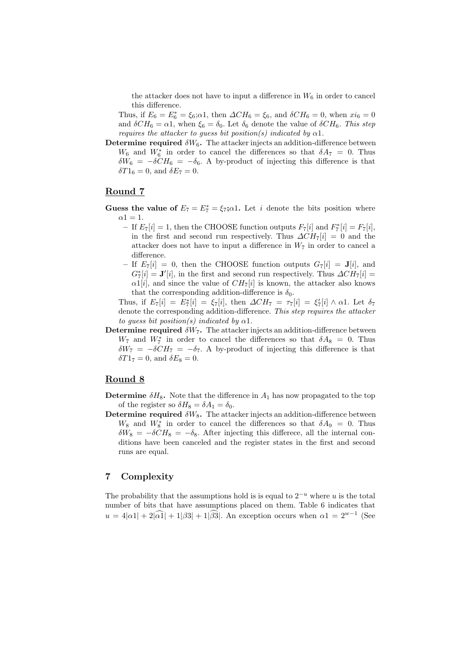the attacker does not have to input a difference in  $W_6$  in order to cancel this difference.

Thus, if  $E_6 = E_6^* = \xi_6; \alpha_1$ , then  $\Delta CH_6 = \xi_6$ , and  $\delta CH_6 = 0$ , when  $xi_6 = 0$ and  $\delta CH_6 = \alpha_1$ , when  $\xi_6 = \delta_0$ . Let  $\delta_6$  denote the value of  $\delta CH_6$ . This step requires the attacker to quess bit position(s) indicated by  $\alpha$ 1.

Determine required  $\delta W_6$ . The attacker injects an addition-difference between  $W_6$  and  $W_6^*$  in order to cancel the differences so that  $\delta A_7 = 0$ . Thus  $\delta W_6 = -\delta C H_6 = -\delta_6$ . A by-product of injecting this difference is that  $\delta T1_6 = 0$ , and  $\delta E_7 = 0$ .

## Round 7

- Guess the value of  $E_7 = E_7^* = \xi_7; \alpha 1$ . Let *i* denote the bits position where  $\alpha$ 1 = 1.
	- If  $E_7[i] = 1$ , then the CHOOSE function outputs  $F_7[i]$  and  $F_7^*[i] = F_7[i]$ , in the first and second run respectively. Thus  $\Delta CH_7[i] = 0$  and the attacker does not have to input a difference in  $W_7$  in order to cancel a difference.
	- If  $E_7[i] = 0$ , then the CHOOSE function outputs  $G_7[i] = J[i]$ , and  $G_7^*[i] = \mathbf{J}'[i]$ , in the first and second run respectively. Thus  $\Delta CH_7[i] =$  $\alpha$ 1[*i*], and since the value of  $CH_7[i]$  is known, the attacker also knows that the corresponding addition-difference is  $\delta_0$ .

Thus, if  $E_7[i] = E_7^*[i] = \xi_7[i]$ , then  $\Delta CH_7 = \tau_7[i] = \xi_7'[i] \wedge \alpha 1$ . Let  $\delta_7$ denote the corresponding addition-difference. This step requires the attacker to guess bit position(s) indicated by  $\alpha$ 1.

**Determine required**  $\delta W_7$ . The attacker injects an addition-difference between  $W_7$  and  $W_7^*$  in order to cancel the differences so that  $\delta A_8 = 0$ . Thus  $\delta W_7 = -\delta CH_7 = -\delta_7$ . A by-product of injecting this difference is that  $\delta T1_7 = 0$ , and  $\delta E_8 = 0$ .

# Round 8

- **Determine**  $\delta H_8$ . Note that the difference in  $A_1$  has now propagated to the top of the register so  $\delta H_8 = \delta A_1 = \delta_0$ .
- Determine required  $\delta W_8$ . The attacker injects an addition-difference between W<sub>8</sub> and W<sub>8</sub><sup>\*</sup> in order to cancel the differences so that  $\delta A_9 = 0$ . Thus  $\delta W_8 = -\delta C H_8 = -\delta_8$ . After injecting this differece, all the internal conditions have been canceled and the register states in the first and second runs are equal.

# 7 Complexity

The probability that the assumptions hold is is equal to  $2^{-u}$  where u is the total number of bits that have assumptions placed on them. Table 6 indicates that  $u = 4|\alpha 1| + 2|\widehat{\alpha 1}| + 1|\beta 3| + 1|\widehat{\beta 3}|$ . An exception occurs when  $\alpha 1 = 2^{w-1}$  (See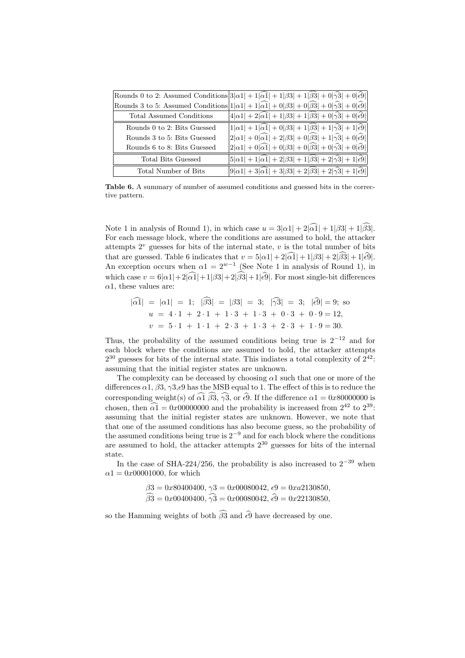|                                 | Rounds 0 to 2: Assumed Conditions $ 3 \alpha_1  + 1 \widehat{\alpha_1}  + 1 \beta_3  + 1 \widehat{\beta_3}  + 0 \widehat{\gamma_3}  + 0 \widehat{\epsilon_3} $ |
|---------------------------------|----------------------------------------------------------------------------------------------------------------------------------------------------------------|
|                                 | Rounds 3 to 5: Assumed Conditions $ 1 \alpha 1  + 1 \widehat{\alpha 1}  + 0 \beta 3  + 0 \widehat{\beta 3}  + 0 \widehat{\gamma 3}  + 0 \widehat{\epsilon 9} $ |
| <b>Total Assumed Conditions</b> | $\big 4 \alpha 1 +2 \widehat{\alpha 1} +1 \beta 3 +1 \widehat{\beta 3} +0 \widehat{\gamma 3} +0 \widehat{\epsilon 9} \big $                                    |
| Rounds 0 to 2: Bits Guessed     | $\left 1 \alpha 1 +1 \widehat{\alpha 1} +0 \beta 3 +1 \widehat{\beta 3} +1 \widehat{\gamma 3} +1 \widehat{\epsilon 9} \right $                                 |
| Rounds 3 to 5: Bits Guessed     | $\left 2 \alpha1 +0 \widehat{\alpha1} +2 \beta3 +0 \widehat{\beta3} +1 \widehat{\gamma3} +0 \widehat{\epsilon9} \right $                                       |
| Rounds 6 to 8: Bits Guessed     | $\left 2 \alpha1 +0 \widehat{\alpha1} +0 \beta3 +0 \widehat{\beta3} +0 \widehat{\gamma3} +0 \widehat{\epsilon9} \right $                                       |
| Total Bits Guessed              | $ 5 \alpha1 +1 \widehat{\alpha1} +2 \beta3 +1 \widehat{\beta3} +2 \widehat{\gamma3} +1 \widehat{\epsilon9} \widehat{\beta}$                                    |
| Total Number of Bits            | $9 \alpha1 +3 \widehat{\alpha1} +3 \beta3 +2 \beta3 +2 \widehat{\gamma3} +1 \widehat{\epsilon9} $                                                              |

Table 6. A summary of number of assumed conditions and guessed bits in the corrective pattern.

Note 1 in analysis of Round 1), in which case  $u = 3|\alpha_1| + 2|\widehat{\alpha_1}| + 1|\beta_3| + 1|\widehat{\beta_3}|$ . For each message block, where the conditions are assumed to hold, the attacker attempts  $2^v$  guesses for bits of the internal state, v is the total number of bits that are guessed. Table 6 indicates that  $v = 5|\alpha_1| + 2|\widehat{\alpha_1}| + 1|\beta_3| + 2|\widehat{\beta_3}| + 1|\widehat{\epsilon_3}|.$ An exception occurs when  $\alpha_1 = 2^{w-1}$  (See Note 1 in analysis of Round 1), in which case  $v = 6|\alpha_1| + 2|\widehat{\alpha_1}| + 1|\beta_3| + 2|\widehat{\beta_3}| + 1|\widehat{\epsilon_3}|$ . For most single-bit differences  $\alpha$ 1, these values are:

$$
|\alpha 1| = |\alpha 1| = 1;
$$
  $|\beta 3| = |\beta 3| = 3;$   $|\gamma 3| = 3;$   $|\hat{\epsilon} 9| = 9;$  so  
\n $u = 4 \cdot 1 + 2 \cdot 1 + 1 \cdot 3 + 1 \cdot 3 + 0 \cdot 3 + 0 \cdot 9 = 12,$   
\n $v = 5 \cdot 1 + 1 \cdot 1 + 2 \cdot 3 + 1 \cdot 3 + 2 \cdot 3 + 1 \cdot 9 = 30.$ 

Thus, the probability of the assumed conditions being true is  $2^{-12}$  and for each block where the conditions are assumed to hold, the attacker attempts  $2^{30}$  guesses for bits of the internal state. This indiates a total complexity of  $2^{42}$ : assuming that the initial register states are unknown.

The complexity can be deceased by choosing  $\alpha$ 1 such that one or more of the differences  $\alpha$ 1,  $\beta$ 3,  $\gamma$ 3, $\epsilon$ 9 has the MSB equal to 1. The effect of this is to reduce the corresponding weight(s) of  $\widehat{\alpha_1}$   $\widehat{\beta_3}$ ,  $\widehat{\gamma_3}$ , or  $\widehat{\epsilon_9}$ . If the difference  $\alpha_1 = 0x80000000$  is chosen, then  $\widehat{\alpha_1} = 0x00000000$  and the probability is increased from  $2^{42}$  to  $2^{39}$ . assuming that the initial register states are unknown. However, we note that that one of the assumed conditions has also become guess, so the probability of the assumed conditions being true is  $2^{-9}$  and for each block where the conditions are assumed to hold, the attacker attempts  $2^{30}$  guesses for bits of the internal state.

In the case of SHA-224/256, the probability is also increased to  $2^{-39}$  when  $\alpha$ 1 = 0x00001000, for which

$$
\begin{aligned}\n\beta 3 &= 0x80400400, \, \gamma 3 = 0x00080042, \, \epsilon 9 = 0xa2130850, \\
\widehat{\beta 3} &= 0x00400400, \, \widehat{\gamma 3} = 0x00080042, \, \widehat{\epsilon 9} = 0x22130850,\n\end{aligned}
$$

so the Hamming weights of both  $\widehat{\beta3}$  and  $\widehat{\epsilon9}$  have decreased by one.